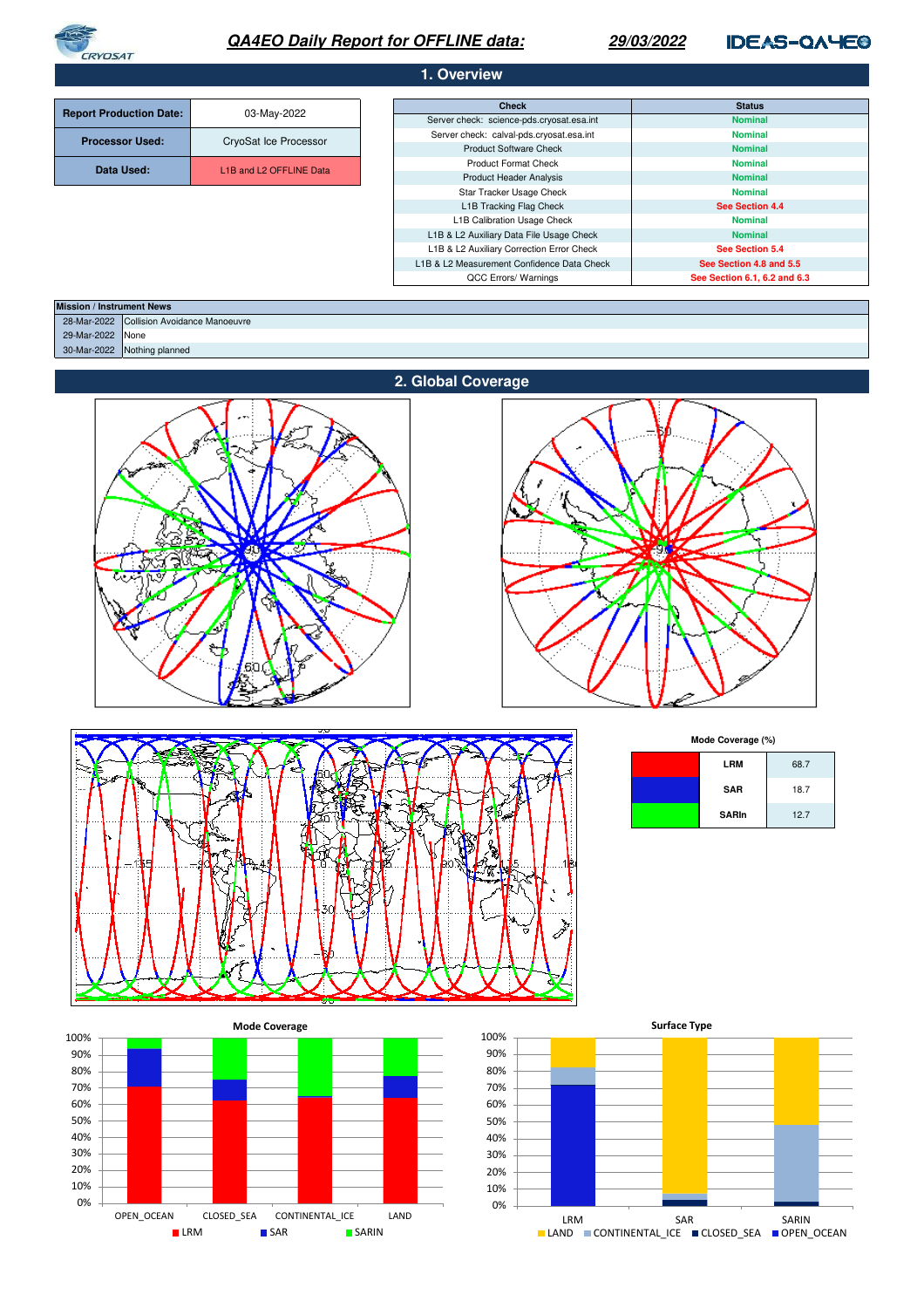

# **QA4EO Daily Report for OFFLINE data:**

## **29/03/2022**

# **IDEAS-QAYE®**

| 1. Overview                    |                                                  |                                                           |                                 |  |
|--------------------------------|--------------------------------------------------|-----------------------------------------------------------|---------------------------------|--|
|                                |                                                  |                                                           |                                 |  |
| <b>Report Production Date:</b> | 03-May-2022                                      | <b>Check</b><br>Server check: science-pds.cryosat.esa.int | <b>Status</b><br><b>Nominal</b> |  |
|                                | CryoSat Ice Processor                            | Server check: calval-pds.cryosat.esa.int                  | <b>Nominal</b>                  |  |
| <b>Processor Used:</b>         |                                                  | <b>Product Software Check</b>                             | <b>Nominal</b>                  |  |
|                                | L <sub>1</sub> B and L <sub>2</sub> OFFLINE Data | <b>Product Format Check</b>                               | <b>Nominal</b>                  |  |
| Data Used:                     |                                                  | <b>Product Header Analysis</b>                            | <b>Nominal</b>                  |  |
|                                |                                                  | Star Tracker Usage Check                                  | <b>Nominal</b>                  |  |
|                                |                                                  | L1B Tracking Flag Check                                   | See Section 4.4                 |  |
|                                |                                                  | L1B Calibration Usage Check                               | <b>Nominal</b>                  |  |
|                                |                                                  | L1B & L2 Auxiliary Data File Usage Check                  | <b>Nominal</b>                  |  |
|                                |                                                  | L1B & L2 Auxiliary Correction Error Check                 | See Section 5.4                 |  |
|                                |                                                  | L1B & L2 Measurement Confidence Data Check                | See Section 4.8 and 5.5         |  |
|                                |                                                  | QCC Errors/ Warnings                                      | See Section 6.1, 6.2 and 6.3    |  |

| <b>Mission / Instrument News</b> |                                           |  |
|----------------------------------|-------------------------------------------|--|
|                                  | 28-Mar-2022 Collision Avoidance Manoeuvre |  |
| 29-Mar-2022 None                 |                                           |  |
|                                  | 30-Mar-2022 Nothing planned               |  |
|                                  |                                           |  |







**Mode Coverage (%)**

| <b>LRM</b>   | 68.7 |
|--------------|------|
| <b>SAR</b>   | 18.7 |
| <b>SARIn</b> | 12.7 |



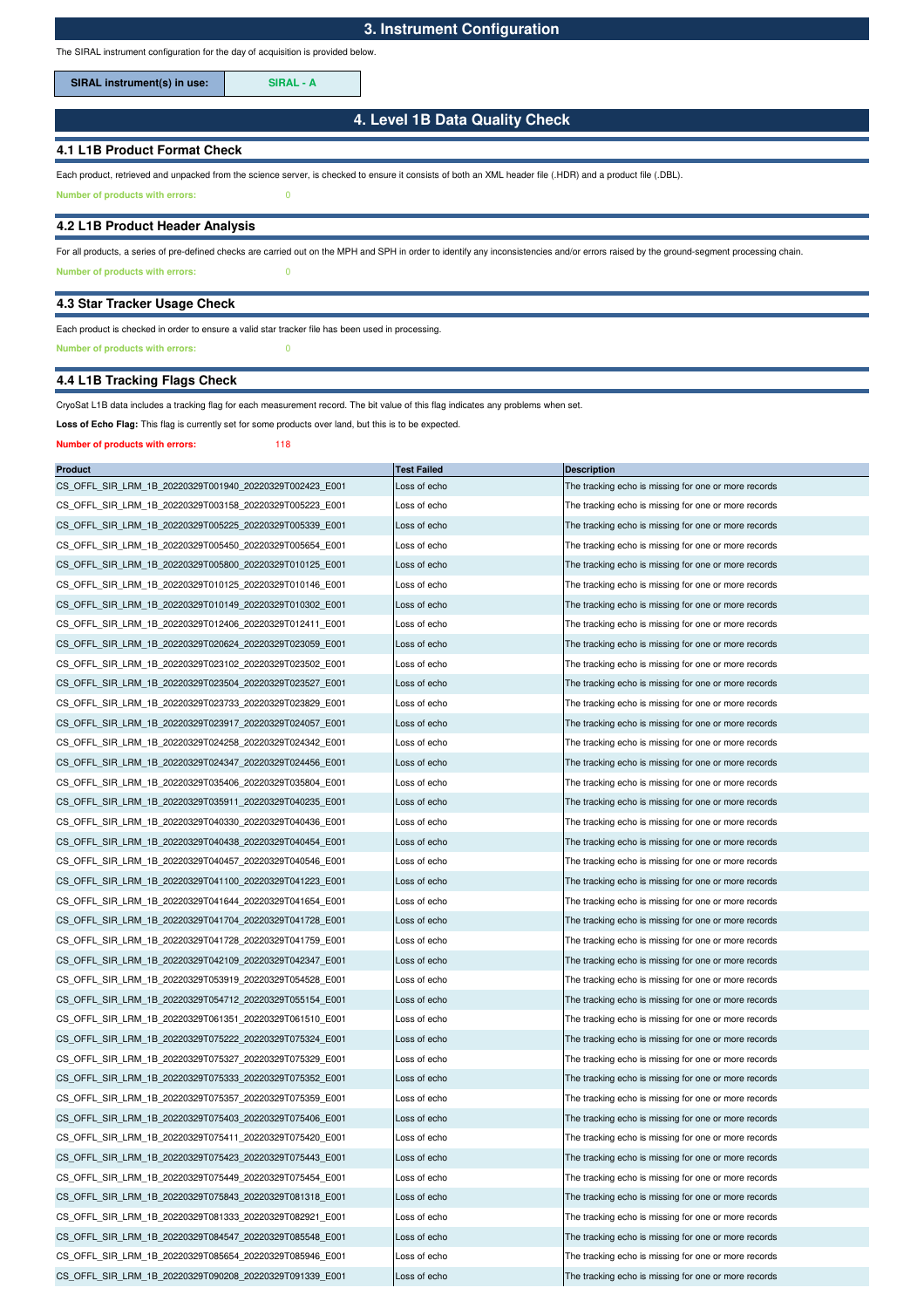The SIRAL instrument configuration for the day of acquisition is provided below.

SIRAL instrument(s) in use: **SIRAL - A** 

## **4. Level 1B Data Quality Check**

### **4.1 L1B Product Format Check**

Each product, retrieved and unpacked from the science server, is checked to ensure it consists of both an XML header file (.HDR) and a product file (.DBL).

**Number of products with errors:** 0

#### **4.2 L1B Product Header Analysis**

**Number of products with errors:** 0 For all products, a series of pre-defined checks are carried out on the MPH and SPH in order to identify any inconsistencies and/or errors raised by the ground-segment processing chain.

#### **4.3 Star Tracker Usage Check**

## Each product is checked in order to ensure a valid star tracker file has been used in processing.

**Number of products with errors:** 0

## **4.4 L1B Tracking Flags Check**

#### CryoSat L1B data includes a tracking flag for each measurement record. The bit value of this flag indicates any problems when set.

Loss of Echo Flag: This flag is currently set for some products over land, but this is to be expected.

#### **Number of products with errors:** 118

| <b>Product</b>                                          | <b>Test Failed</b> | <b>Description</b>                                   |
|---------------------------------------------------------|--------------------|------------------------------------------------------|
| CS_OFFL_SIR_LRM_1B_20220329T001940_20220329T002423_E001 | Loss of echo       | The tracking echo is missing for one or more records |
| CS_OFFL_SIR_LRM_1B_20220329T003158_20220329T005223_E001 | Loss of echo       | The tracking echo is missing for one or more records |
| CS_OFFL_SIR_LRM_1B_20220329T005225_20220329T005339_E001 | Loss of echo       | The tracking echo is missing for one or more records |
| CS OFFL SIR LRM 1B 20220329T005450 20220329T005654 E001 | Loss of echo       | The tracking echo is missing for one or more records |
| CS_OFFL_SIR_LRM_1B_20220329T005800_20220329T010125_E001 | Loss of echo       | The tracking echo is missing for one or more records |
| CS_OFFL_SIR_LRM_1B_20220329T010125_20220329T010146_E001 | Loss of echo       | The tracking echo is missing for one or more records |
| CS_OFFL_SIR_LRM_1B_20220329T010149_20220329T010302_E001 | Loss of echo       | The tracking echo is missing for one or more records |
| CS_OFFL_SIR_LRM_1B_20220329T012406_20220329T012411_E001 | Loss of echo       | The tracking echo is missing for one or more records |
| CS_OFFL_SIR_LRM_1B_20220329T020624_20220329T023059_E001 | Loss of echo       | The tracking echo is missing for one or more records |
| CS_OFFL_SIR_LRM_1B_20220329T023102_20220329T023502_E001 | Loss of echo       | The tracking echo is missing for one or more records |
| CS OFFL SIR LRM 1B 20220329T023504 20220329T023527 E001 | Loss of echo       | The tracking echo is missing for one or more records |
| CS_OFFL_SIR_LRM_1B_20220329T023733_20220329T023829_E001 | Loss of echo       | The tracking echo is missing for one or more records |
| CS_OFFL_SIR_LRM_1B_20220329T023917_20220329T024057_E001 | Loss of echo       | The tracking echo is missing for one or more records |
| CS_OFFL_SIR_LRM_1B_20220329T024258_20220329T024342_E001 | Loss of echo       | The tracking echo is missing for one or more records |
| CS_OFFL_SIR_LRM_1B_20220329T024347_20220329T024456_E001 | Loss of echo       | The tracking echo is missing for one or more records |
| CS OFFL SIR LRM 1B 20220329T035406 20220329T035804 E001 | Loss of echo       | The tracking echo is missing for one or more records |
| CS OFFL SIR LRM 1B 20220329T035911 20220329T040235 E001 | Loss of echo       | The tracking echo is missing for one or more records |
| CS_OFFL_SIR_LRM_1B_20220329T040330_20220329T040436_E001 | Loss of echo       | The tracking echo is missing for one or more records |
| CS_OFFL_SIR_LRM_1B_20220329T040438_20220329T040454_E001 | Loss of echo       | The tracking echo is missing for one or more records |
| CS OFFL SIR LRM 1B 20220329T040457 20220329T040546 E001 | Loss of echo       | The tracking echo is missing for one or more records |
| CS OFFL SIR LRM 1B 20220329T041100 20220329T041223 E001 | Loss of echo       | The tracking echo is missing for one or more records |
| CS_OFFL_SIR_LRM_1B_20220329T041644_20220329T041654_E001 | Loss of echo       | The tracking echo is missing for one or more records |
| CS_OFFL_SIR_LRM_1B_20220329T041704_20220329T041728_E001 | Loss of echo       | The tracking echo is missing for one or more records |
| CS_OFFL_SIR_LRM_1B_20220329T041728_20220329T041759_E001 | Loss of echo       | The tracking echo is missing for one or more records |
| CS_OFFL_SIR_LRM_1B_20220329T042109_20220329T042347_E001 | Loss of echo       | The tracking echo is missing for one or more records |
| CS_OFFL_SIR_LRM_1B_20220329T053919_20220329T054528_E001 | Loss of echo       | The tracking echo is missing for one or more records |
| CS_OFFL_SIR_LRM_1B_20220329T054712_20220329T055154_E001 | Loss of echo       | The tracking echo is missing for one or more records |
| CS_OFFL_SIR_LRM_1B_20220329T061351_20220329T061510_E001 | Loss of echo       | The tracking echo is missing for one or more records |
| CS_OFFL_SIR_LRM_1B_20220329T075222_20220329T075324_E001 | Loss of echo       | The tracking echo is missing for one or more records |
| CS_OFFL_SIR_LRM_1B_20220329T075327_20220329T075329_E001 | Loss of echo       | The tracking echo is missing for one or more records |
| CS OFFL SIR LRM 1B 20220329T075333 20220329T075352 E001 | Loss of echo       | The tracking echo is missing for one or more records |
| CS OFFL SIR LRM 1B 20220329T075357 20220329T075359 E001 | Loss of echo       | The tracking echo is missing for one or more records |
| CS_OFFL_SIR_LRM_1B_20220329T075403_20220329T075406_E001 | Loss of echo       | The tracking echo is missing for one or more records |
| CS OFFL SIR LRM 1B 20220329T075411 20220329T075420 E001 | Loss of echo       | The tracking echo is missing for one or more records |
| CS_OFFL_SIR_LRM_1B_20220329T075423_20220329T075443_E001 | Loss of echo       | The tracking echo is missing for one or more records |
| CS OFFL SIR LRM 1B 20220329T075449 20220329T075454 E001 | Loss of echo       | The tracking echo is missing for one or more records |
| CS OFFL SIR LRM 1B 20220329T075843 20220329T081318 E001 | Loss of echo       | The tracking echo is missing for one or more records |
| CS_OFFL_SIR_LRM_1B_20220329T081333_20220329T082921_E001 | Loss of echo       | The tracking echo is missing for one or more records |
| CS_OFFL_SIR_LRM_1B_20220329T084547_20220329T085548_E001 | Loss of echo       | The tracking echo is missing for one or more records |
| CS OFFL SIR LRM 1B 20220329T085654 20220329T085946 E001 | Loss of echo       | The tracking echo is missing for one or more records |
| CS OFFL SIR LRM 1B 20220329T090208 20220329T091339 E001 | Loss of echo       | The tracking echo is missing for one or more records |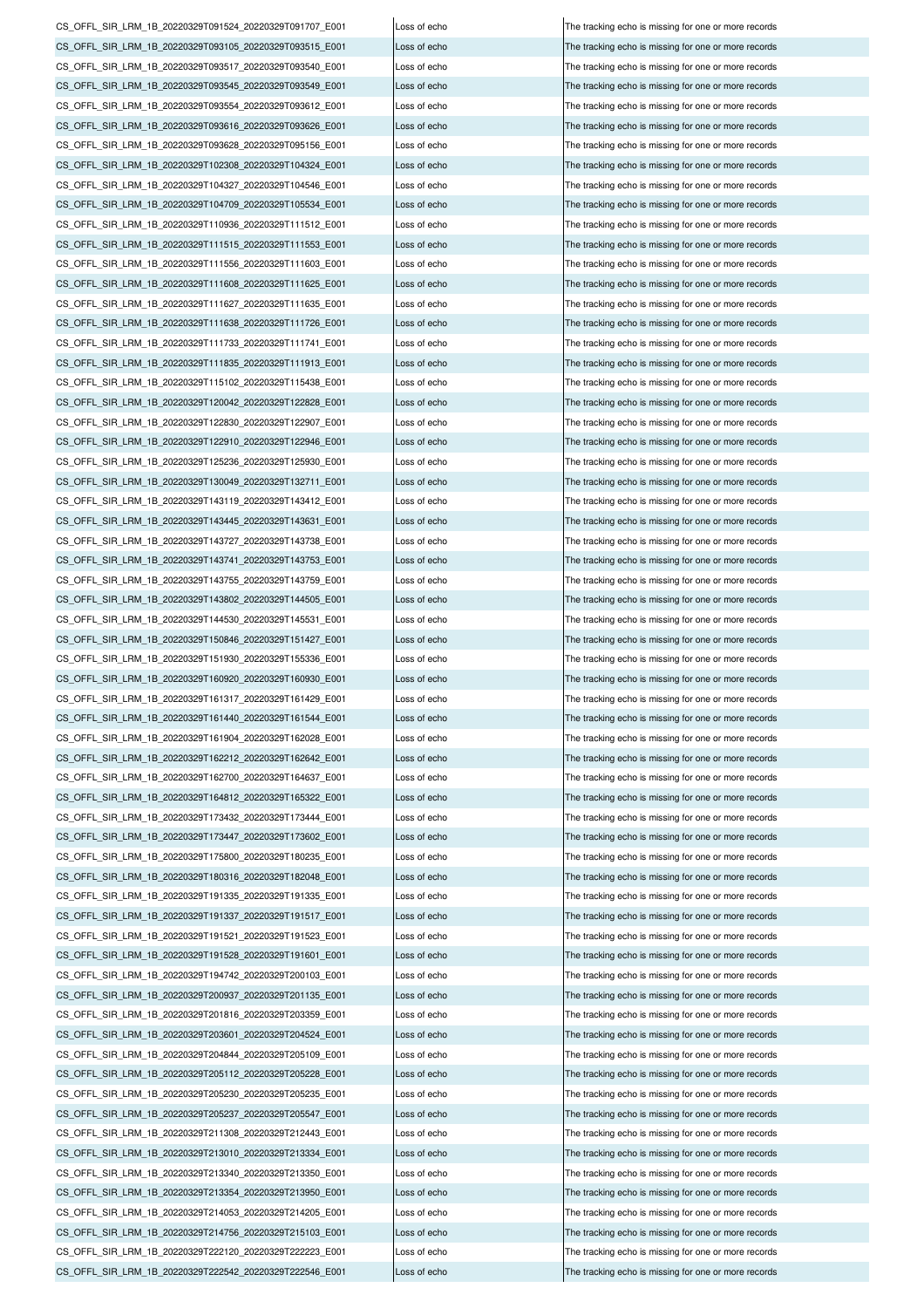CS\_OFFL\_SIR\_LRM\_1B\_20220329T213340\_20220329T213350\_E001 Loss of echo The tracking echo is missing for one or more records CS\_OFFL\_SIR\_LRM\_1B\_20220329T213354\_20220329T213950\_E001 Loss of echo The tracking echo is missing for one or more records  $CS$  OFFL\_SIR\_LRM\_1B\_20220329T214053\_20220329T214205\_E001 Loss of echo  $\overline{CD}$  The tracking echo is missing for one or more records CS\_OFFL\_SIR\_LRM\_1B\_20220329T214756\_20220329T215103\_E001 Loss of echo The tracking echo is missing for one or more records CS\_OFFL\_SIR\_LRM\_1B\_20220329T222120\_20220329T222223\_E001 Loss of echo The tracking echo is missing for one or more records CS\_OFFL\_SIR\_LRM\_1B\_20220329T222542\_20220329T222546\_E001 Loss of echo CS\_OFFL\_SIR\_LRM\_1B\_20220329T200937\_20220329T201135\_E001 Loss of echo The tracking echo is missing for one or more records CS\_OFFL\_SIR\_LRM\_1B\_20220329T201816\_20220329T203359\_E001 Loss of echo The tracking echo is missing for one or more records CS\_OFFL\_SIR\_LRM\_1B\_20220329T203601\_20220329T204524\_E001 Loss of echo The tracking echo is missing for one or more records CS\_OFFL\_SIR\_LRM\_1B\_20220329T204844\_20220329T205109\_E001 Loss of echo CS\_OFFL\_SIR\_LRM\_1B\_20220329T205112\_20220329T205228\_E001 Loss of echo The tracking echo is missing for one or more records CS\_OFFL\_SIR\_LRM\_1B\_20220329T205230\_20220329T205235\_E001 Loss of echo The tracking echo is missing for one or more records CS\_OFFL\_SIR\_LRM\_1B\_20220329T205237\_20220329T205547\_E001 Loss of echo The tracking echo is missing for one or more records CS\_OFFL\_SIR\_LRM\_1B\_20220329T211308\_20220329T212443\_E001 Loss of echo The tracking echo is missing for one or more records CS\_OFFL\_SIR\_LRM\_1B\_20220329T213010\_20220329T213334\_E001 Loss of echo The tracking echo is missing for one or more records CS\_OFFL\_SIR\_LRM\_1B\_20220329T162700\_20220329T164637\_E001 Loss of echo The tracking echo is missing for one or more records CS\_OFFL\_SIR\_LRM\_1B\_20220329T164812\_20220329T165322\_E001 Loss of echo The tracking echo is missing for one or more records CS\_OFFL\_SIR\_LRM\_1B\_20220329T173432\_20220329T173444\_E001 Loss of echo The tracking echo is missing for one or more records CS\_OFFL\_SIR\_LRM\_1B\_20220329T173447\_20220329T173602\_E001 Loss of echo The tracking echo is missing for one or more records CS\_OFFL\_SIR\_LRM\_1B\_20220329T175800\_20220329T180235\_E001 Loss of echo The tracking echo is missing for one or more records CS\_OFFL\_SIR\_LRM\_1B\_20220329T180316\_20220329T182048\_E001 Loss of echo The tracking echo is missing for one or more records CS\_OFFL\_SIR\_LRM\_1B\_20220329T191335\_20220329T191335\_E001 Loss of echo The tracking echo is missing for one or more records CS\_OFFL\_SIR\_LRM\_1B\_20220329T191337\_20220329T191517\_E001 Loss of echo The tracking echo is missing for one or more records CS\_OFFL\_SIR\_LRM\_1B\_20220329T191521\_20220329T191523\_E001 Loss of echo The tracking echo is missing for one or more records CS\_OFFL\_SIR\_LRM\_1B\_20220329T191528\_20220329T191601\_E001 Loss of echo The tracking echo is missing for one or more records CS\_OFFL\_SIR\_LRM\_1B\_20220329T194742\_20220329T200103\_E001 CS\_OFFL\_SIR\_LRM\_1B\_20220329T151930\_20220329T155336\_E001 Loss of echo The tracking echo is missing for one or more records CS\_OFFL\_SIR\_LRM\_1B\_20220329T160920\_20220329T160930\_E001 Loss of echo The tracking echo is missing for one or more records CS\_OFFL\_SIR\_LRM\_1B\_20220329T161317\_20220329T161429\_E001 Loss of echo The tracking echo is missing for one or more records CS\_OFFL\_SIR\_LRM\_1B\_20220329T161440\_20220329T161544\_E001 Loss of echo The tracking echo is missing for one or more records CS\_OFFL\_SIR\_LRM\_1B\_20220329T161904\_20220329T162028\_E001 Loss of echo The tracking echo is missing for one or more records CS\_OFFL\_SIR\_LRM\_1B\_20220329T162212\_20220329T162642\_E001 Loss of echo The tracking echo is missing for one or more records CS\_OFFL\_SIR\_LRM\_1B\_20220329T143727\_20220329T143738\_E001 Loss of echo The tracking echo is missing for one or more records CS\_OFFL\_SIR\_LRM\_1B\_20220329T143741\_20220329T143753\_E001 Loss of echo The tracking echo is missing for one or more records CS\_OFFL\_SIR\_LRM\_1B\_20220329T143755\_20220329T143759\_E001 Loss of echo The tracking echo is missing for one or more records CS\_OFFL\_SIR\_LRM\_1B\_20220329T143802\_20220329T144505\_E001 Loss of echo The tracking echo is missing for one or more records CS\_OFFL\_SIR\_LRM\_1B\_20220329T144530\_20220329T145531\_E001 Loss of echo The tracking echo is missing for one or more records CS\_OFFL\_SIR\_LRM\_1B\_20220329T150846\_20220329T151427\_E001 Loss of echo The tracking echo is missing for one or more records CS\_OFFL\_SIR\_LRM\_1B\_20220329T122830\_20220329T122907\_E001 Loss of echo The tracking echo is missing for one or more records CS\_OFFL\_SIR\_LRM\_1B\_20220329T122910\_20220329T122946\_E001 Loss of echo The tracking echo is missing for one or more records CS\_OFFL\_SIR\_LRM\_1B\_20220329T125236\_20220329T125930\_E001 Loss of echo The tracking echo The tracking echo is missing for one or more records CS\_OFFL\_SIR\_LRM\_1B\_20220329T130049\_20220329T132711\_E001 Loss of echo The tracking echo is missing for one or more records CS\_OFFL\_SIR\_LRM\_1B\_20220329T143119\_20220329T143412\_E001 Loss of echo The tracking echo is missing for one or more records CS\_OFFL\_SIR\_LRM\_1B\_20220329T143445\_20220329T143631\_E001 Loss of echo The tracking echo is missing for one or more records CS\_OFFL\_SIR\_LRM\_1B\_20220329T111627\_20220329T111635\_E001 Loss of echo The tracking echo is missing for one or more records CS\_OFFL\_SIR\_LRM\_1B\_20220329T111638\_20220329T111726\_E001 Loss of echo The tracking echo is missing for one or more records CS\_OFFL\_SIR\_LRM\_1B\_20220329T111733\_20220329T111741\_E001 Loss of echo The tracking echo is missing for one or more records CS\_OFFL\_SIR\_LRM\_1B\_20220329T111835\_20220329T111913\_E001 Loss of echo The tracking echo is missing for one or more records CS\_OFFL\_SIR\_LRM\_1B\_20220329T115102\_20220329T115438\_E001 Loss of echo The tracking echo is missing for one or more records CS\_OFFL\_SIR\_LRM\_1B\_20220329T120042\_20220329T122828\_E001 Loss of echo The tracking echo is missing for one or more records CS\_OFFL\_SIR\_LRM\_1B\_20220329T104327\_20220329T104546\_E001 Loss of echo The tracking echo is missing for one or more records CS\_OFFL\_SIR\_LRM\_1B\_20220329T104709\_20220329T105534\_E001 Loss of echo The tracking echo is missing for one or more records CS\_OFFL\_SIR\_LRM\_1B\_20220329T110936\_20220329T111512\_E001 Loss of echo The tracking echo is missing for one or more records CS\_OFFL\_SIR\_LRM\_1B\_20220329T111515\_20220329T111553\_E001 Loss of echo The tracking echo is missing for one or more records CS\_OFFL\_SIR\_LRM\_1B\_20220329T111556\_20220329T111603\_E001 Loss of echo The tracking echo is missing for one or more records CS\_OFFL\_SIR\_LRM\_1B\_20220329T111608\_20220329T111625\_E001 Loss of echo The tracking echo is missing for one or more records CS\_OFFL\_SIR\_LRM\_1B\_20220329T093517\_20220329T093540\_E001 Loss of echo The tracking echo is missing for one or more records CS\_OFFL\_SIR\_LRM\_1B\_20220329T093545\_20220329T093549\_E001 Loss of echo The tracking echo is missing for one or more records CS\_OFFL\_SIR\_LRM\_1B\_20220329T093554\_20220329T093612\_E001 Loss of echo The tracking echo is missing for one or more records CS\_OFFL\_SIR\_LRM\_1B\_20220329T093616\_20220329T093626\_E001 Loss of echo The tracking echo is missing for one or more records CS\_OFFL\_SIR\_LRM\_1B\_20220329T093628\_20220329T095156\_E001 Loss of echo The tracking echo is missing for one or more records CS\_OFFL\_SIR\_LRM\_1B\_20220329T102308\_20220329T104324\_E001 Loss of echo The tracking echo is missing for one or more records CS\_OFFL\_SIR\_LRM\_1B\_20220329T091524\_20220329T091707\_E001 Loss of echo The tracking echo is missing for one or more records CS\_OFFL\_SIR\_LRM\_1B\_20220329T093105\_20220329T093515\_E001 Loss of echo The tracking echo is missing for one or more records

Loss of echo The tracking echo is missing for one or more records The tracking echo is missing for one or more records The tracking echo is missing for one or more records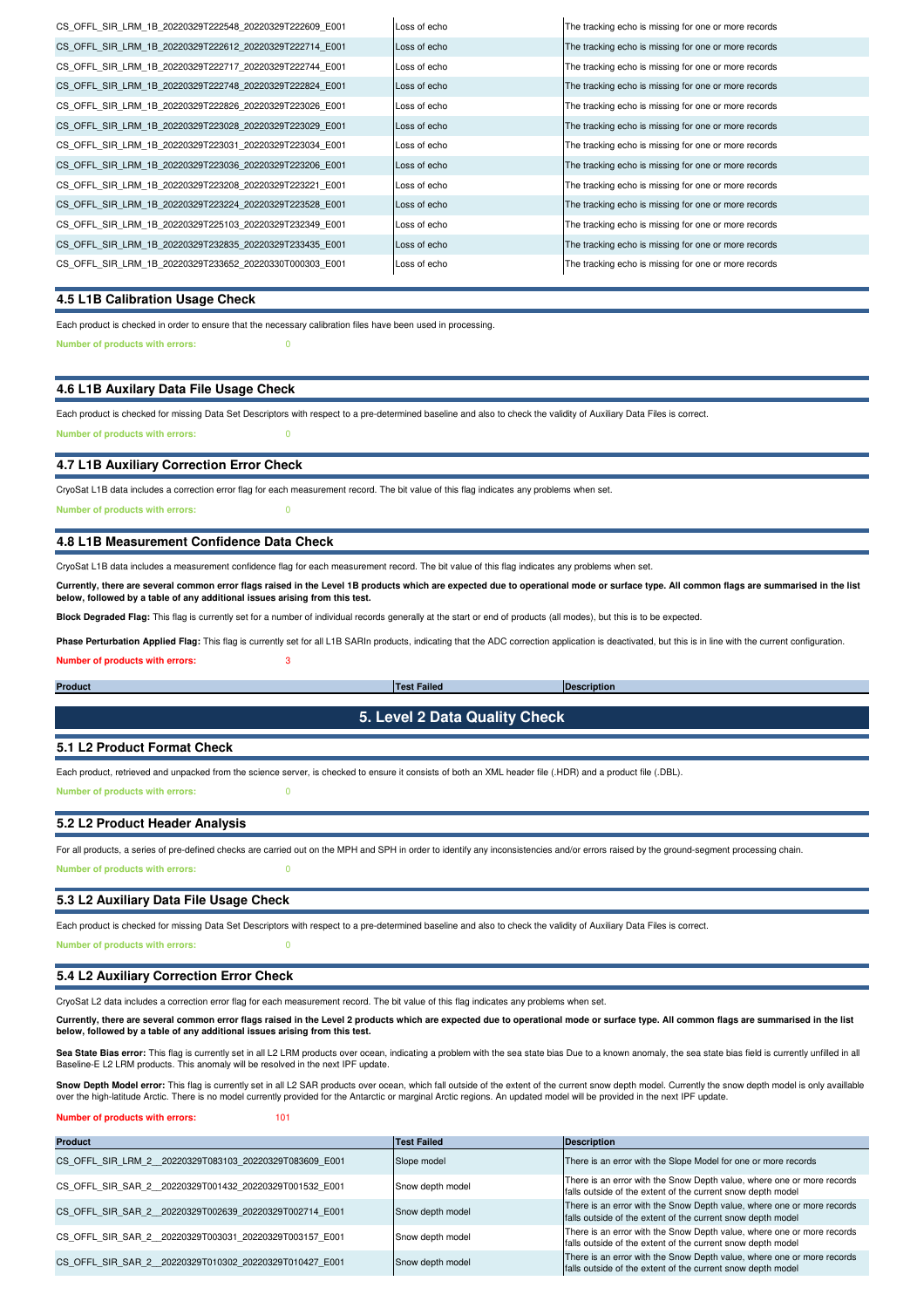| CS OFFL SIR LRM 1B 20220329T222548 20220329T222609 E001 | Loss of echo | The tracking echo is missing for one or more records |
|---------------------------------------------------------|--------------|------------------------------------------------------|
| CS OFFL SIR LRM 1B 20220329T222612 20220329T222714 E001 | Loss of echo | The tracking echo is missing for one or more records |
| CS OFFL SIR LRM 1B 20220329T222717 20220329T222744 E001 | Loss of echo | The tracking echo is missing for one or more records |
| CS OFFL SIR LRM 1B 20220329T222748 20220329T222824 E001 | Loss of echo | The tracking echo is missing for one or more records |
| CS OFFL SIR LRM 1B 20220329T222826 20220329T223026 E001 | Loss of echo | The tracking echo is missing for one or more records |
| CS OFFL SIR LRM 1B 20220329T223028 20220329T223029 E001 | Loss of echo | The tracking echo is missing for one or more records |
| CS OFFL SIR LRM 1B 20220329T223031 20220329T223034 E001 | Loss of echo | The tracking echo is missing for one or more records |
| CS OFFL SIR LRM 1B 20220329T223036 20220329T223206 E001 | Loss of echo | The tracking echo is missing for one or more records |
| CS OFFL SIR LRM 1B 20220329T223208 20220329T223221 E001 | Loss of echo | The tracking echo is missing for one or more records |
| CS OFFL SIR LRM 1B 20220329T223224 20220329T223528 E001 | Loss of echo | The tracking echo is missing for one or more records |
| CS OFFL SIR LRM 1B 20220329T225103 20220329T232349 E001 | Loss of echo | The tracking echo is missing for one or more records |
| CS OFFL SIR LRM 1B 20220329T232835 20220329T233435 E001 | Loss of echo | The tracking echo is missing for one or more records |
| CS OFFL SIR LRM 1B 20220329T233652 20220330T000303 E001 | Loss of echo | The tracking echo is missing for one or more records |
|                                                         |              |                                                      |

### **4.5 L1B Calibration Usage Check**

**Number of products with errors:** 0 Each product is checked in order to ensure that the necessary calibration files have been used in processing.

#### **4.6 L1B Auxilary Data File Usage Check**

Each product is checked for missing Data Set Descriptors with respect to a pre-determined baseline and also to check the validity of Auxiliary Data Files is correct. **Number of products with errors:** 0

#### **4.7 L1B Auxiliary Correction Error Check**

CryoSat L1B data includes a correction error flag for each measurement record. The bit value of this flag indicates any problems when set.

**Number of products with errors:** 0

### **4.8 L1B Measurement Confidence Data Check**

CryoSat L1B data includes a measurement confidence flag for each measurement record. The bit value of this flag indicates any problems when set.

Currently, there are several common error flags raised in the Level 1B products which are expected due to operational mode or surface type. All common flags are summarised in the list<br>below, followed by a table of any addi

**Block Degraded Flag:** This flag is currently set for a number of individual records generally at the start or end of products (all modes), but this is to be expected.

**Number of products with errors:** 3 **Phase Perturbation Applied Flag:** This flag is currently set for all L1B SARIn products, indicating that the ADC correction application is deactivated, but this is in line with the current configuration.

**5. Level 2 Data Quality Check**

**Product Description Test Failed**

### **5.1 L2 Product Format Check**

Each product, retrieved and unpacked from the science server, is checked to ensure it consists of both an XML header file (.HDR) and a product file (.DBL). **Number of products with errors:** 0

### **5.2 L2 Product Header Analysis**

**Number of products with errors:** 0 For all products, a series of pre-defined checks are carried out on the MPH and SPH in order to identify any inconsistencies and/or errors raised by the ground-segment processing chain.

### **5.3 L2 Auxiliary Data File Usage Check**

Each product is checked for missing Data Set Descriptors with respect to a pre-determined baseline and also to check the validity of Auxiliary Data Files is correct.

**Number of products with errors:** 0

## **5.4 L2 Auxiliary Correction Error Check**

CryoSat L2 data includes a correction error flag for each measurement record. The bit value of this flag indicates any problems when set.

**Currently, there are several common error flags raised in the Level 2 products which are expected due to operational mode or surface type. All common flags are summarised in the list below, followed by a table of any additional issues arising from this test.**

Sea State Bias error: This flag is currently set in all L2 LRM products over ocean, indicating a problem with the sea state bias fou on k known anomaly, the sea state bias field is currently unfilled in all Baseline-E L2 LRM products. This anomaly will be resolved in the next IPF update.

Snow Depth Model error: This flag is currently set in all L2 SAR products over ocean, which fall outside of the extent of the current snow depth model. Currently the snow depth model is only availlable over the high-latitude Arctic. There is no model currently provided for the Antarctic or marginal Arctic regions. An updated model will be provided in the next IPF update.

#### **Number of products with errors:** 101

| <b>Product</b>                                         | <b>Test Failed</b> | <b>Description</b>                                                                                                                    |
|--------------------------------------------------------|--------------------|---------------------------------------------------------------------------------------------------------------------------------------|
| CS OFFL SIR LRM 2 20220329T083103 20220329T083609 E001 | Slope model        | There is an error with the Slope Model for one or more records                                                                        |
| CS OFFL SIR SAR 2 20220329T001432 20220329T001532 E001 | Snow depth model   | There is an error with the Snow Depth value, where one or more records<br>falls outside of the extent of the current snow depth model |
| CS OFFL SIR SAR 2 20220329T002639 20220329T002714 E001 | Snow depth model   | There is an error with the Snow Depth value, where one or more records<br>falls outside of the extent of the current snow depth model |
| CS OFFL SIR SAR 2 20220329T003031 20220329T003157 E001 | Snow depth model   | There is an error with the Snow Depth value, where one or more records<br>falls outside of the extent of the current snow depth model |
| CS OFFL SIR SAR 2 20220329T010302 20220329T010427 E001 | Snow depth model   | There is an error with the Snow Depth value, where one or more records<br>falls outside of the extent of the current snow depth model |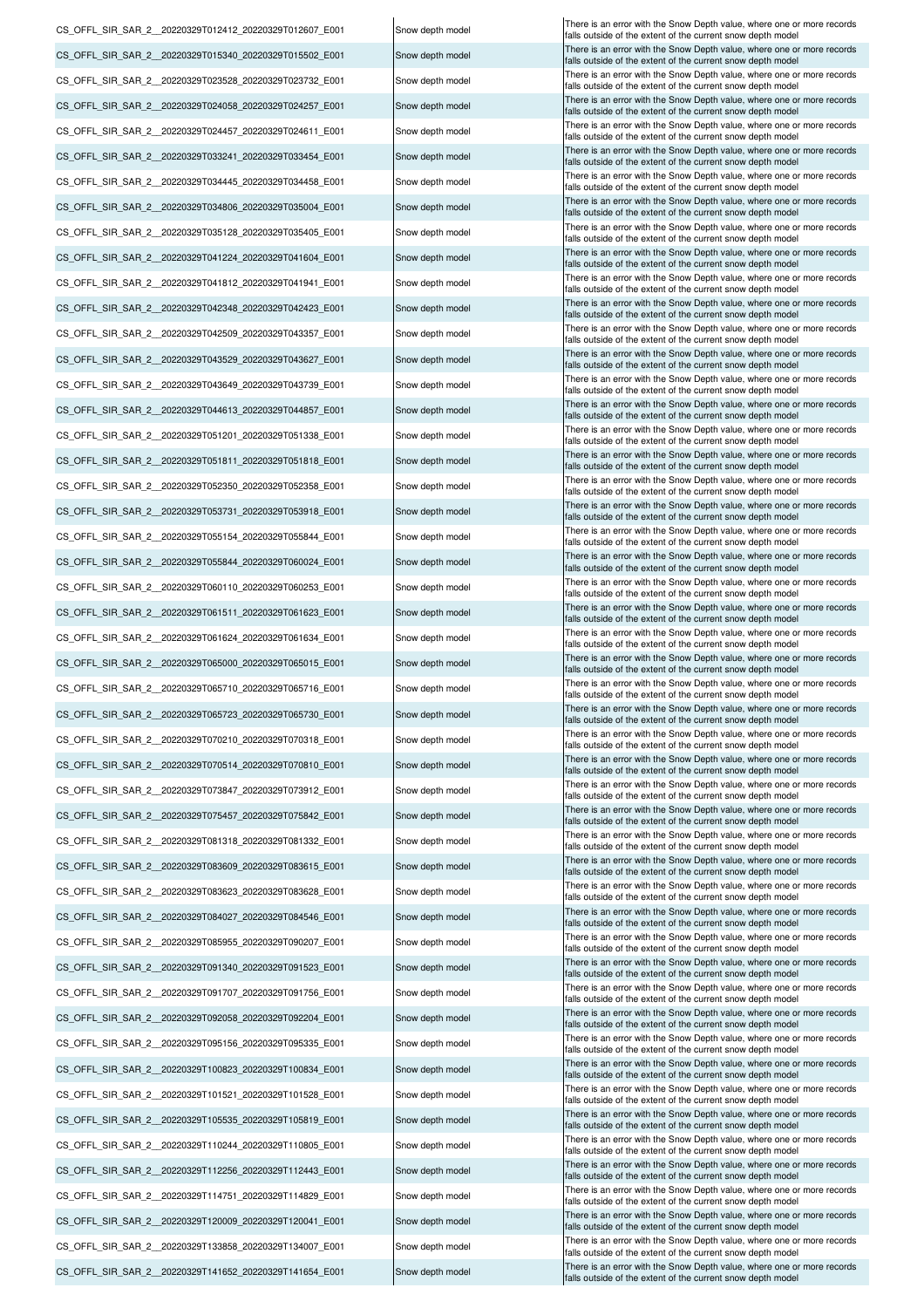| CS OFFL SIR SAR 2 20220329T012412 20220329T012607 E001 | Snow depth model | There is an error with the Snow Depth value, where one or more records<br>falls outside of the extent of the current snow depth model |
|--------------------------------------------------------|------------------|---------------------------------------------------------------------------------------------------------------------------------------|
| CS_OFFL_SIR_SAR_2_20220329T015340_20220329T015502_E001 | Snow depth model | There is an error with the Snow Depth value, where one or more records<br>falls outside of the extent of the current snow depth model |
| CS OFFL SIR SAR 2 20220329T023528 20220329T023732 E001 | Snow depth model | There is an error with the Snow Depth value, where one or more records<br>falls outside of the extent of the current snow depth model |
| CS_OFFL_SIR_SAR_2_20220329T024058_20220329T024257_E001 | Snow depth model | There is an error with the Snow Depth value, where one or more records                                                                |
| CS_OFFL_SIR_SAR_2_20220329T024457_20220329T024611_E001 | Snow depth model | falls outside of the extent of the current snow depth model<br>There is an error with the Snow Depth value, where one or more records |
| CS_OFFL_SIR_SAR_2_20220329T033241_20220329T033454_E001 | Snow depth model | falls outside of the extent of the current snow depth model<br>There is an error with the Snow Depth value, where one or more records |
| CS OFFL SIR SAR_2_20220329T034445_20220329T034458_E001 | Snow depth model | falls outside of the extent of the current snow depth model<br>There is an error with the Snow Depth value, where one or more records |
|                                                        |                  | falls outside of the extent of the current snow depth model<br>There is an error with the Snow Depth value, where one or more records |
| CS_OFFL_SIR_SAR_2_20220329T034806_20220329T035004_E001 | Snow depth model | falls outside of the extent of the current snow depth model<br>There is an error with the Snow Depth value, where one or more records |
| CS OFFL SIR SAR 2 20220329T035128 20220329T035405 E001 | Snow depth model | falls outside of the extent of the current snow depth model<br>There is an error with the Snow Depth value, where one or more records |
| CS_OFFL_SIR_SAR_2_20220329T041224_20220329T041604_E001 | Snow depth model | falls outside of the extent of the current snow depth model<br>There is an error with the Snow Depth value, where one or more records |
| CS OFFL SIR SAR 2 20220329T041812 20220329T041941 E001 | Snow depth model | falls outside of the extent of the current snow depth model                                                                           |
| CS_OFFL_SIR_SAR_2_20220329T042348_20220329T042423_E001 | Snow depth model | There is an error with the Snow Depth value, where one or more records<br>falls outside of the extent of the current snow depth model |
| CS_OFFL_SIR_SAR_2_20220329T042509_20220329T043357_E001 | Snow depth model | There is an error with the Snow Depth value, where one or more records<br>falls outside of the extent of the current snow depth model |
| CS OFFL SIR SAR 2 20220329T043529 20220329T043627 E001 | Snow depth model | There is an error with the Snow Depth value, where one or more records<br>falls outside of the extent of the current snow depth model |
| CS OFFL SIR SAR 2 20220329T043649 20220329T043739 E001 | Snow depth model | There is an error with the Snow Depth value, where one or more records<br>falls outside of the extent of the current snow depth model |
| CS_OFFL_SIR_SAR_2_20220329T044613_20220329T044857_E001 | Snow depth model | There is an error with the Snow Depth value, where one or more records<br>falls outside of the extent of the current snow depth model |
| CS_OFFL_SIR_SAR_2_20220329T051201_20220329T051338_E001 | Snow depth model | There is an error with the Snow Depth value, where one or more records<br>falls outside of the extent of the current snow depth model |
| CS_OFFL_SIR_SAR_2_20220329T051811_20220329T051818_E001 | Snow depth model | There is an error with the Snow Depth value, where one or more records<br>falls outside of the extent of the current snow depth model |
| CS_OFFL_SIR_SAR_2_20220329T052350_20220329T052358_E001 | Snow depth model | There is an error with the Snow Depth value, where one or more records<br>falls outside of the extent of the current snow depth model |
| CS OFFL SIR SAR 2 20220329T053731 20220329T053918 E001 | Snow depth model | There is an error with the Snow Depth value, where one or more records<br>falls outside of the extent of the current snow depth model |
| CS_OFFL_SIR_SAR_2_20220329T055154_20220329T055844_E001 | Snow depth model | There is an error with the Snow Depth value, where one or more records                                                                |
| CS_OFFL_SIR_SAR_2_20220329T055844_20220329T060024_E001 | Snow depth model | falls outside of the extent of the current snow depth model<br>There is an error with the Snow Depth value, where one or more records |
| CS OFFL SIR SAR 2 20220329T060110 20220329T060253 E001 | Snow depth model | falls outside of the extent of the current snow depth model<br>There is an error with the Snow Depth value, where one or more records |
| CS_OFFL_SIR_SAR_2_20220329T061511_20220329T061623_E001 | Snow depth model | falls outside of the extent of the current snow depth model<br>There is an error with the Snow Depth value, where one or more records |
| CS_OFFL_SIR_SAR_2_20220329T061624_20220329T061634_E001 | Snow depth model | falls outside of the extent of the current snow depth model<br>There is an error with the Snow Depth value, where one or more records |
|                                                        |                  | falls outside of the extent of the current snow depth model<br>There is an error with the Snow Depth value, where one or more records |
| CS_OFFL_SIR_SAR_2_20220329T065000_20220329T065015_E001 | Snow depth model | falls outside of the extent of the current snow depth model<br>There is an error with the Snow Depth value, where one or more records |
| CS OFFL SIR SAR 2 20220329T065710 20220329T065716 E001 | Snow depth model | falls outside of the extent of the current snow depth model<br>There is an error with the Snow Depth value, where one or more records |
| CS_OFFL_SIR_SAR_2_20220329T065723_20220329T065730_E001 | Snow depth model | falls outside of the extent of the current snow depth model<br>There is an error with the Snow Depth value, where one or more records |
| CS OFFL SIR SAR 2 20220329T070210 20220329T070318 E001 | Snow depth model | falls outside of the extent of the current snow depth model<br>There is an error with the Snow Depth value, where one or more records |
| CS OFFL SIR SAR 2 20220329T070514 20220329T070810 E001 | Snow depth model | falls outside of the extent of the current snow depth model                                                                           |
| CS_OFFL_SIR_SAR_2_20220329T073847_20220329T073912_E001 | Snow depth model | There is an error with the Snow Depth value, where one or more records<br>falls outside of the extent of the current snow depth model |
| CS OFFL SIR SAR 2 20220329T075457 20220329T075842 E001 | Snow depth model | There is an error with the Snow Depth value, where one or more records<br>falls outside of the extent of the current snow depth model |
| CS_OFFL_SIR_SAR_2_20220329T081318_20220329T081332_E001 | Snow depth model | There is an error with the Snow Depth value, where one or more records<br>falls outside of the extent of the current snow depth model |
| CS OFFL SIR SAR 2 20220329T083609 20220329T083615 E001 | Snow depth model | There is an error with the Snow Depth value, where one or more records<br>falls outside of the extent of the current snow depth model |
| CS OFFL SIR SAR 2 20220329T083623 20220329T083628 E001 | Snow depth model | There is an error with the Snow Depth value, where one or more records<br>falls outside of the extent of the current snow depth model |
| CS OFFL SIR_SAR_2_20220329T084027_20220329T084546_E001 | Snow depth model | There is an error with the Snow Depth value, where one or more records<br>falls outside of the extent of the current snow depth model |
| CS OFFL SIR SAR 2 20220329T085955 20220329T090207 E001 | Snow depth model | There is an error with the Snow Depth value, where one or more records<br>falls outside of the extent of the current snow depth model |
| CS_OFFL_SIR_SAR_2_20220329T091340_20220329T091523_E001 | Snow depth model | There is an error with the Snow Depth value, where one or more records<br>falls outside of the extent of the current snow depth model |
| CS_OFFL_SIR_SAR_2_20220329T091707_20220329T091756_E001 | Snow depth model | There is an error with the Snow Depth value, where one or more records<br>falls outside of the extent of the current snow depth model |
| CS OFFL SIR SAR 2 20220329T092058 20220329T092204 E001 | Snow depth model | There is an error with the Snow Depth value, where one or more records<br>falls outside of the extent of the current snow depth model |
| CS_OFFL_SIR_SAR_2_20220329T095156_20220329T095335_E001 | Snow depth model | There is an error with the Snow Depth value, where one or more records                                                                |
| CS_OFFL_SIR_SAR_2_20220329T100823_20220329T100834_E001 | Snow depth model | falls outside of the extent of the current snow depth model<br>There is an error with the Snow Depth value, where one or more records |
| CS OFFL SIR SAR 2 20220329T101521 20220329T101528 E001 | Snow depth model | falls outside of the extent of the current snow depth model<br>There is an error with the Snow Depth value, where one or more records |
| CS_OFFL_SIR_SAR_2_20220329T105535_20220329T105819_E001 | Snow depth model | falls outside of the extent of the current snow depth model<br>There is an error with the Snow Depth value, where one or more records |
|                                                        |                  | falls outside of the extent of the current snow depth model<br>There is an error with the Snow Depth value, where one or more records |
| CS_OFFL_SIR_SAR_2_20220329T110244_20220329T110805_E001 | Snow depth model | falls outside of the extent of the current snow depth model<br>There is an error with the Snow Depth value, where one or more records |
| CS OFFL SIR SAR 2 20220329T112256 20220329T112443 E001 | Snow depth model | falls outside of the extent of the current snow depth model<br>There is an error with the Snow Depth value, where one or more records |
| CS_OFFL_SIR_SAR_2_20220329T114751_20220329T114829_E001 | Snow depth model | falls outside of the extent of the current snow depth model<br>There is an error with the Snow Depth value, where one or more records |
| CS OFFL SIR SAR 2 20220329T120009 20220329T120041 E001 | Snow depth model | falls outside of the extent of the current snow depth model<br>There is an error with the Snow Depth value, where one or more records |
| CS OFFL SIR SAR 2 20220329T133858 20220329T134007 E001 | Snow depth model | falls outside of the extent of the current snow depth model                                                                           |
| CS OFFL SIR SAR 2 20220329T141652 20220329T141654 E001 | Snow depth model | There is an error with the Snow Depth value, where one or more records<br>falls outside of the extent of the current snow depth model |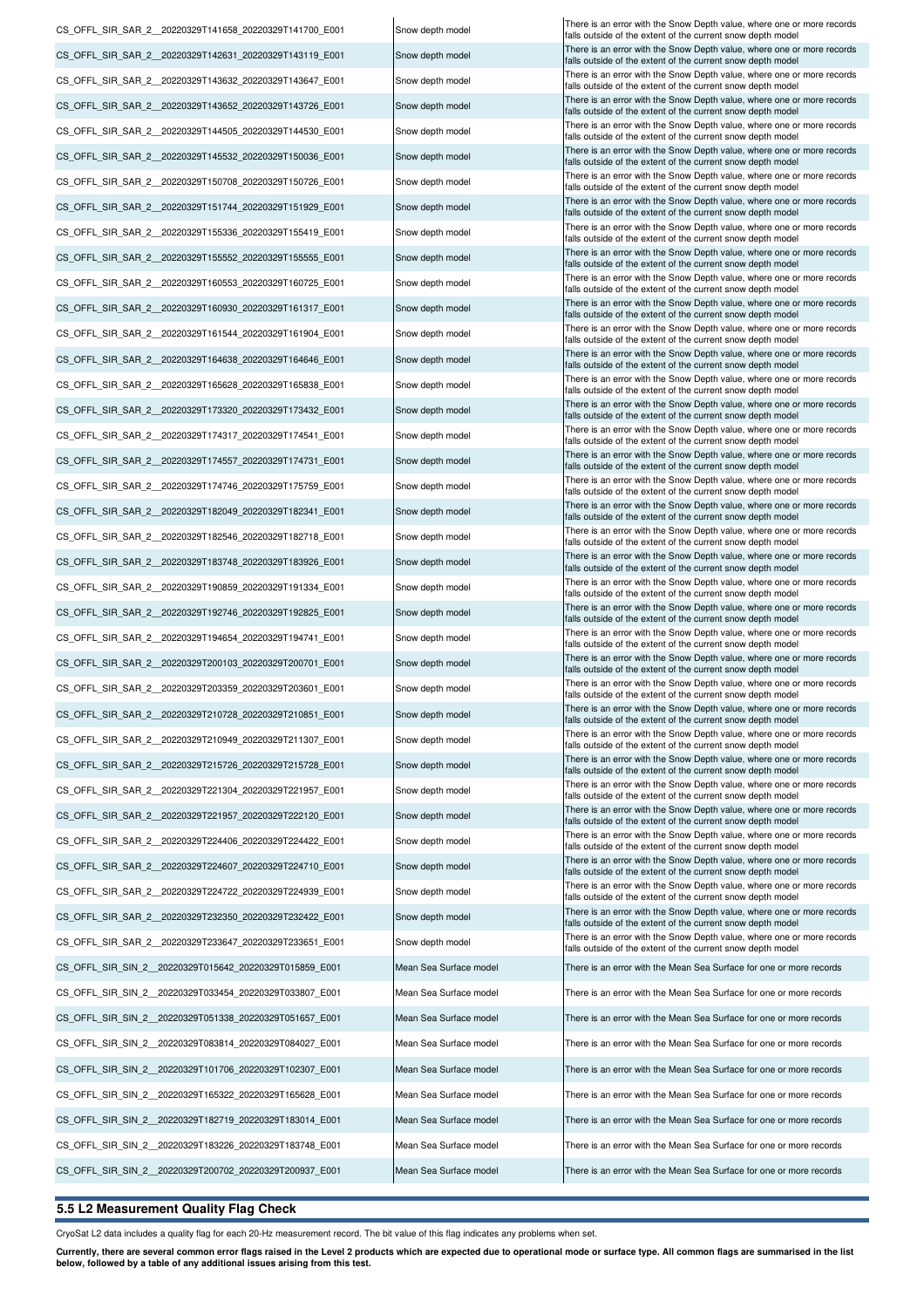| CS_OFFL_SIR_SAR_2_20220329T141658_20220329T141700_E001  | Snow depth model       | There is an error with the Snow Depth value, where one or more records<br>falls outside of the extent of the current snow depth model |
|---------------------------------------------------------|------------------------|---------------------------------------------------------------------------------------------------------------------------------------|
| CS_OFFL_SIR_SAR_2_20220329T142631_20220329T143119_E001  | Snow depth model       | There is an error with the Snow Depth value, where one or more records<br>falls outside of the extent of the current snow depth model |
| CS_OFFL_SIR_SAR_2__20220329T143632_20220329T143647_E001 | Snow depth model       | There is an error with the Snow Depth value, where one or more records<br>falls outside of the extent of the current snow depth model |
| CS_OFFL_SIR_SAR_2_20220329T143652_20220329T143726_E001  | Snow depth model       | There is an error with the Snow Depth value, where one or more records<br>falls outside of the extent of the current snow depth model |
| CS OFFL SIR_SAR_2 _20220329T144505_20220329T144530_E001 | Snow depth model       | There is an error with the Snow Depth value, where one or more records<br>falls outside of the extent of the current snow depth model |
| CS_OFFL_SIR_SAR_2__20220329T145532_20220329T150036_E001 | Snow depth model       | There is an error with the Snow Depth value, where one or more records<br>falls outside of the extent of the current snow depth model |
| CS_OFFL_SIR_SAR_2__20220329T150708_20220329T150726_E001 | Snow depth model       | There is an error with the Snow Depth value, where one or more records                                                                |
| CS_OFFL_SIR_SAR_2__20220329T151744_20220329T151929_E001 | Snow depth model       | falls outside of the extent of the current snow depth model<br>There is an error with the Snow Depth value, where one or more records |
| CS_OFFL_SIR_SAR_2__20220329T155336_20220329T155419_E001 | Snow depth model       | falls outside of the extent of the current snow depth model<br>There is an error with the Snow Depth value, where one or more records |
| CS_OFFL_SIR_SAR_2_20220329T155552_20220329T155555_E001  | Snow depth model       | falls outside of the extent of the current snow depth model<br>There is an error with the Snow Depth value, where one or more records |
|                                                         | Snow depth model       | falls outside of the extent of the current snow depth model<br>There is an error with the Snow Depth value, where one or more records |
| CS_OFFL_SIR_SAR_2__20220329T160553_20220329T160725_E001 |                        | falls outside of the extent of the current snow depth model<br>There is an error with the Snow Depth value, where one or more records |
| CS_OFFL_SIR_SAR_2__20220329T160930_20220329T161317_E001 | Snow depth model       | falls outside of the extent of the current snow depth model<br>There is an error with the Snow Depth value, where one or more records |
| CS OFFL SIR SAR 2 20220329T161544 20220329T161904 E001  | Snow depth model       | falls outside of the extent of the current snow depth model<br>There is an error with the Snow Depth value, where one or more records |
| CS_OFFL_SIR_SAR_2__20220329T164638_20220329T164646_E001 | Snow depth model       | falls outside of the extent of the current snow depth model<br>There is an error with the Snow Depth value, where one or more records |
| CS_OFFL_SIR_SAR_2__20220329T165628_20220329T165838_E001 | Snow depth model       | falls outside of the extent of the current snow depth model                                                                           |
| CS_OFFL_SIR_SAR_2__20220329T173320_20220329T173432_E001 | Snow depth model       | There is an error with the Snow Depth value, where one or more records<br>falls outside of the extent of the current snow depth model |
| CS_OFFL_SIR_SAR_2__20220329T174317_20220329T174541_E001 | Snow depth model       | There is an error with the Snow Depth value, where one or more records<br>falls outside of the extent of the current snow depth model |
| CS_OFFL_SIR_SAR_2__20220329T174557_20220329T174731_E001 | Snow depth model       | There is an error with the Snow Depth value, where one or more records<br>falls outside of the extent of the current snow depth model |
| CS_OFFL_SIR_SAR_2_20220329T174746_20220329T175759_E001  | Snow depth model       | There is an error with the Snow Depth value, where one or more records<br>falls outside of the extent of the current snow depth model |
| CS_OFFL_SIR_SAR_2__20220329T182049_20220329T182341_E001 | Snow depth model       | There is an error with the Snow Depth value, where one or more records<br>falls outside of the extent of the current snow depth model |
| CS_OFFL_SIR_SAR_2__20220329T182546_20220329T182718_E001 | Snow depth model       | There is an error with the Snow Depth value, where one or more records<br>falls outside of the extent of the current snow depth model |
| CS_OFFL_SIR_SAR_2__20220329T183748_20220329T183926_E001 | Snow depth model       | There is an error with the Snow Depth value, where one or more records<br>falls outside of the extent of the current snow depth model |
| CS_OFFL_SIR_SAR_2__20220329T190859_20220329T191334_E001 | Snow depth model       | There is an error with the Snow Depth value, where one or more records<br>falls outside of the extent of the current snow depth model |
| CS_OFFL_SIR_SAR_2__20220329T192746_20220329T192825_E001 | Snow depth model       | There is an error with the Snow Depth value, where one or more records<br>falls outside of the extent of the current snow depth model |
| CS OFFL SIR SAR 2 20220329T194654 20220329T194741 E001  | Snow depth model       | There is an error with the Snow Depth value, where one or more records<br>falls outside of the extent of the current snow depth model |
| CS OFFL SIR SAR 2 20220329T200103 20220329T200701 E001  | Snow depth model       | There is an error with the Snow Depth value, where one or more records<br>falls outside of the extent of the current snow depth model |
| CS OFFL SIR SAR 2 20220329T203359 20220329T203601 E001  | Snow depth model       | There is an error with the Snow Depth value, where one or more records                                                                |
| CS_OFFL_SIR_SAR_2_20220329T210728_20220329T210851_E001  | Snow depth model       | falls outside of the extent of the current snow depth model<br>There is an error with the Snow Depth value, where one or more records |
| CS_OFFL_SIR_SAR_2_20220329T210949_20220329T211307_E001  | Snow depth model       | talls outside of the extent of the current snow depth model<br>There is an error with the Snow Depth value, where one or more records |
| CS OFFL SIR SAR 2 20220329T215726 20220329T215728 E001  | Snow depth model       | falls outside of the extent of the current snow depth model<br>There is an error with the Snow Depth value, where one or more records |
| CS OFFL SIR SAR 2 20220329T221304 20220329T221957 E001  | Snow depth model       | falls outside of the extent of the current snow depth model<br>There is an error with the Snow Depth value, where one or more records |
| CS_OFFL_SIR_SAR_2_20220329T221957_20220329T222120_E001  |                        | falls outside of the extent of the current snow depth model<br>There is an error with the Snow Depth value, where one or more records |
|                                                         | Snow depth model       | falls outside of the extent of the current snow depth model<br>There is an error with the Snow Depth value, where one or more records |
| CS OFFL SIR SAR 2 20220329T224406 20220329T224422 E001  | Snow depth model       | falls outside of the extent of the current snow depth model<br>There is an error with the Snow Depth value, where one or more records |
| CS OFFL SIR_SAR_2_20220329T224607_20220329T224710_E001  | Snow depth model       | falls outside of the extent of the current snow depth model<br>There is an error with the Snow Depth value, where one or more records |
| CS OFFL SIR SAR 2 20220329T224722 20220329T224939 E001  | Snow depth model       | falls outside of the extent of the current snow depth model<br>There is an error with the Snow Depth value, where one or more records |
| CS OFFL SIR SAR 2 20220329T232350 20220329T232422 E001  | Snow depth model       | falls outside of the extent of the current snow depth model                                                                           |
| CS OFFL SIR SAR 2 20220329T233647 20220329T233651 E001  | Snow depth model       | There is an error with the Snow Depth value, where one or more records<br>falls outside of the extent of the current snow depth model |
| CS OFFL SIR SIN 2 20220329T015642 20220329T015859 E001  | Mean Sea Surface model | There is an error with the Mean Sea Surface for one or more records                                                                   |
| CS OFFL SIR SIN 2 20220329T033454 20220329T033807 E001  | Mean Sea Surface model | There is an error with the Mean Sea Surface for one or more records                                                                   |
| CS_OFFL_SIR_SIN_2_20220329T051338_20220329T051657_E001  | Mean Sea Surface model | There is an error with the Mean Sea Surface for one or more records                                                                   |
| CS_OFFL_SIR_SIN_2_20220329T083814_20220329T084027_E001  | Mean Sea Surface model | There is an error with the Mean Sea Surface for one or more records                                                                   |
| CS OFFL SIR SIN 2 20220329T101706 20220329T102307 E001  | Mean Sea Surface model | There is an error with the Mean Sea Surface for one or more records                                                                   |
| CS OFFL SIR SIN 2 20220329T165322 20220329T165628 E001  | Mean Sea Surface model | There is an error with the Mean Sea Surface for one or more records                                                                   |
| CS OFFL SIR SIN 2 20220329T182719 20220329T183014 E001  | Mean Sea Surface model | There is an error with the Mean Sea Surface for one or more records                                                                   |
| CS OFFL SIR SIN 2 20220329T183226 20220329T183748 E001  | Mean Sea Surface model | There is an error with the Mean Sea Surface for one or more records                                                                   |
| CS_OFFL_SIR_SIN_2_20220329T200702_20220329T200937_E001  | Mean Sea Surface model | There is an error with the Mean Sea Surface for one or more records                                                                   |

## **5.5 L2 Measurement Quality Flag Check**

CryoSat L2 data includes a quality flag for each 20-Hz measurement record. The bit value of this flag indicates any problems when set.

Currently, there are several common error flags raised in the Level 2 products which are expected due to operational mode or surface type. All common flags are summarised in the list<br>below, followed by a table of any addit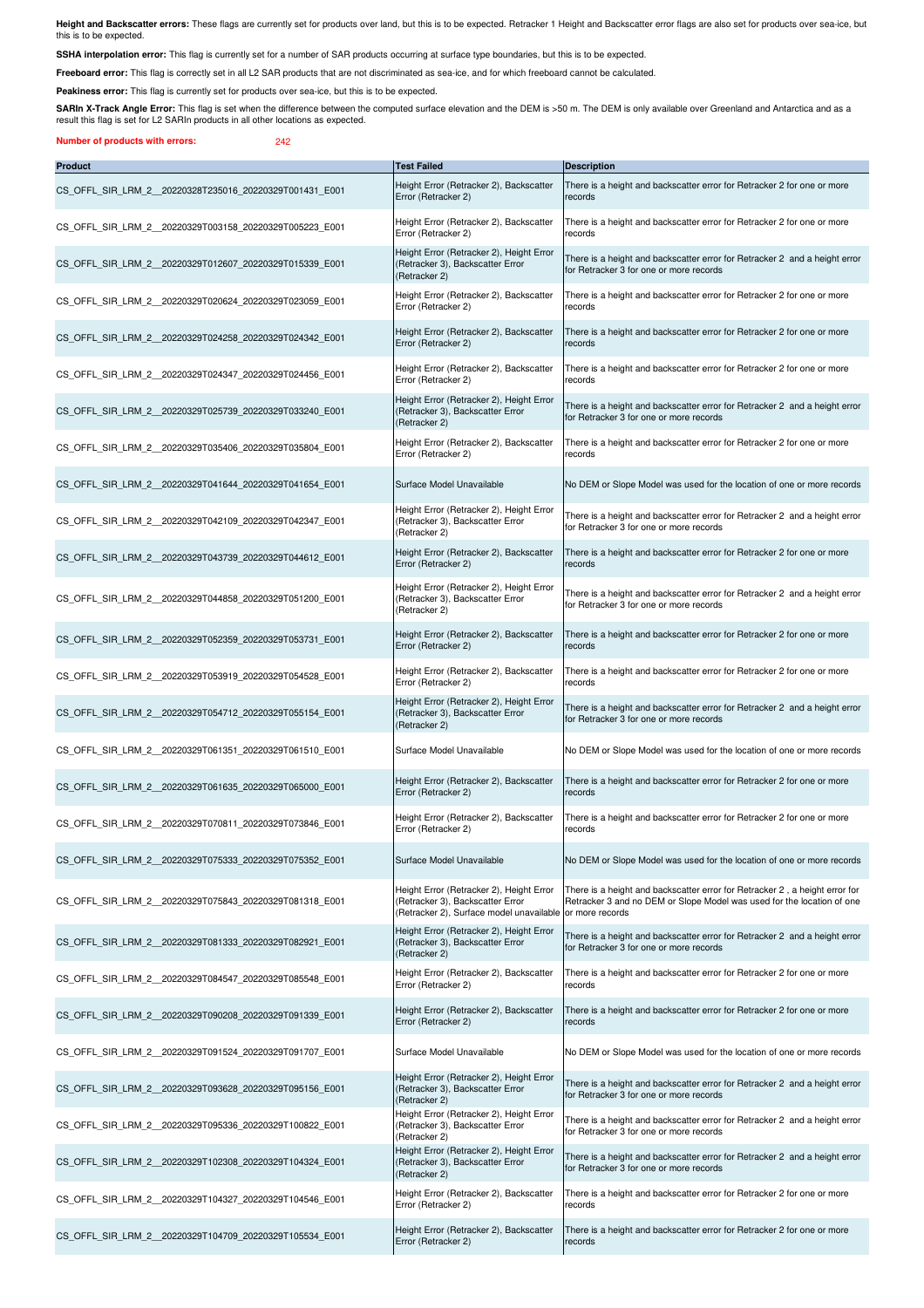**Height and Backscatter errors:** These flags are currently set for products over land, but this is to be expected. Retracker 1 Height and Backscatter error flags are also set for products over sea-ice, but<br>this is to be ex

SSHA interpolation error: This flag is currently set for a number of SAR products occurring at surface type boundaries, but this is to be expected.

**Freeboard error:** This flag is correctly set in all L2 SAR products that are not discriminated as sea-ice, and for which freeboard cannot be calculated.

Peakiness error: This flag is currently set for products over sea-ice, but this is to be expected.

SARIn X-Track Angle Error: This flag is set when the difference between the computed surface elevation and the DEM is >50 m. The DEM is only available over Greenland and Antarctica and as a result this flag is set for L2 SARIn products in all other locations as expected.

**Number of products with errors:** 242

| <b>Product</b>                                         | <b>Test Failed</b>                                                                                                       | <b>Description</b>                                                                                                                                                       |
|--------------------------------------------------------|--------------------------------------------------------------------------------------------------------------------------|--------------------------------------------------------------------------------------------------------------------------------------------------------------------------|
| CS_OFFL_SIR_LRM_2_20220328T235016_20220329T001431_E001 | Height Error (Retracker 2), Backscatter<br>Error (Retracker 2)                                                           | There is a height and backscatter error for Retracker 2 for one or more<br>records                                                                                       |
| CS OFFL SIR LRM 2 20220329T003158 20220329T005223 E001 | Height Error (Retracker 2), Backscatter<br>Error (Retracker 2)                                                           | There is a height and backscatter error for Retracker 2 for one or more<br>records                                                                                       |
| CS OFFL SIR LRM 2 20220329T012607 20220329T015339 E001 | Height Error (Retracker 2), Height Error<br>(Retracker 3), Backscatter Error<br>(Retracker 2)                            | There is a height and backscatter error for Retracker 2 and a height error<br>for Retracker 3 for one or more records                                                    |
| CS OFFL SIR LRM 2 20220329T020624 20220329T023059 E001 | Height Error (Retracker 2), Backscatter<br>Error (Retracker 2)                                                           | There is a height and backscatter error for Retracker 2 for one or more<br>records                                                                                       |
| CS OFFL SIR LRM 2 20220329T024258 20220329T024342 E001 | Height Error (Retracker 2), Backscatter<br>Error (Retracker 2)                                                           | There is a height and backscatter error for Retracker 2 for one or more<br>records                                                                                       |
| CS OFFL SIR LRM 2 20220329T024347 20220329T024456 E001 | Height Error (Retracker 2), Backscatter<br>Error (Retracker 2)                                                           | There is a height and backscatter error for Retracker 2 for one or more<br>records                                                                                       |
| CS OFFL SIR LRM 2 20220329T025739 20220329T033240 E001 | Height Error (Retracker 2), Height Error<br>(Retracker 3), Backscatter Error<br>(Retracker 2)                            | There is a height and backscatter error for Retracker 2 and a height error<br>for Retracker 3 for one or more records                                                    |
| CS OFFL SIR LRM 2 20220329T035406 20220329T035804 E001 | Height Error (Retracker 2), Backscatter<br>Error (Retracker 2)                                                           | There is a height and backscatter error for Retracker 2 for one or more<br>records                                                                                       |
| CS OFFL SIR LRM 2 20220329T041644 20220329T041654 E001 | Surface Model Unavailable                                                                                                | No DEM or Slope Model was used for the location of one or more records                                                                                                   |
| CS OFFL SIR LRM 2 20220329T042109 20220329T042347 E001 | Height Error (Retracker 2), Height Error<br>(Retracker 3), Backscatter Error<br>(Retracker 2)                            | There is a height and backscatter error for Retracker 2 and a height error<br>for Retracker 3 for one or more records                                                    |
| CS OFFL SIR LRM 2 20220329T043739 20220329T044612 E001 | Height Error (Retracker 2), Backscatter<br>Error (Retracker 2)                                                           | There is a height and backscatter error for Retracker 2 for one or more<br>records                                                                                       |
| CS OFFL SIR LRM 2 20220329T044858 20220329T051200 E001 | Height Error (Retracker 2), Height Error<br>(Retracker 3), Backscatter Error<br>(Retracker 2)                            | There is a height and backscatter error for Retracker 2 and a height error<br>for Retracker 3 for one or more records                                                    |
| CS OFFL SIR LRM 2 20220329T052359 20220329T053731 E001 | Height Error (Retracker 2), Backscatter<br>Error (Retracker 2)                                                           | There is a height and backscatter error for Retracker 2 for one or more<br>records                                                                                       |
| CS OFFL SIR LRM 2 20220329T053919 20220329T054528 E001 | Height Error (Retracker 2), Backscatter<br>Error (Retracker 2)                                                           | There is a height and backscatter error for Retracker 2 for one or more<br>records                                                                                       |
| CS OFFL SIR LRM 2 20220329T054712 20220329T055154 E001 | Height Error (Retracker 2), Height Error<br>(Retracker 3), Backscatter Error<br>(Retracker 2)                            | There is a height and backscatter error for Retracker 2 and a height error<br>for Retracker 3 for one or more records                                                    |
| CS OFFL SIR LRM 2 20220329T061351 20220329T061510 E001 | Surface Model Unavailable                                                                                                | No DEM or Slope Model was used for the location of one or more records                                                                                                   |
| CS OFFL SIR LRM 2 20220329T061635 20220329T065000 E001 | Height Error (Retracker 2), Backscatter<br>Error (Retracker 2)                                                           | There is a height and backscatter error for Retracker 2 for one or more<br>records                                                                                       |
| CS OFFL SIR LRM 2 20220329T070811 20220329T073846 E001 | Height Error (Retracker 2), Backscatter<br>Error (Retracker 2)                                                           | There is a height and backscatter error for Retracker 2 for one or more<br>records                                                                                       |
| CS_OFFL_SIR_LRM_2_20220329T075333_20220329T075352_E001 | Surface Model Unavailable                                                                                                | No DEM or Slope Model was used for the location of one or more records                                                                                                   |
| CS OFFL SIR LRM 2 20220329T075843 20220329T081318 E001 | Height Error (Retracker 2), Height Error<br>(Retracker 3), Backscatter Error<br>(Retracker 2), Surface model unavailable | There is a height and backscatter error for Retracker 2, a height error for<br>Retracker 3 and no DEM or Slope Model was used for the location of one<br>or more records |
| CS OFFL SIR LRM 2 20220329T081333 20220329T082921 E001 | Height Error (Retracker 2), Height Error<br>(Retracker 3), Backscatter Error<br>(Retracker 2)                            | There is a height and backscatter error for Retracker 2 and a height error<br>for Retracker 3 for one or more records                                                    |
| CS OFFL SIR LRM 2 20220329T084547 20220329T085548 E001 | Height Error (Retracker 2), Backscatter<br>Error (Retracker 2)                                                           | There is a height and backscatter error for Retracker 2 for one or more<br>records                                                                                       |
| CS OFFL SIR LRM 2 20220329T090208 20220329T091339 E001 | Height Error (Retracker 2), Backscatter<br>Error (Retracker 2)                                                           | There is a height and backscatter error for Retracker 2 for one or more<br>records                                                                                       |
| CS OFFL SIR LRM 2 20220329T091524 20220329T091707 E001 | Surface Model Unavailable                                                                                                | No DEM or Slope Model was used for the location of one or more records                                                                                                   |
| CS OFFL SIR LRM 2 20220329T093628 20220329T095156 E001 | Height Error (Retracker 2), Height Error<br>(Retracker 3), Backscatter Error<br>(Retracker 2)                            | There is a height and backscatter error for Retracker 2 and a height error<br>for Retracker 3 for one or more records                                                    |
| CS OFFL SIR LRM 2 20220329T095336 20220329T100822 E001 | Height Error (Retracker 2), Height Error<br>(Retracker 3), Backscatter Error<br>(Retracker 2)                            | There is a height and backscatter error for Retracker 2 and a height error<br>for Retracker 3 for one or more records                                                    |
| CS OFFL SIR LRM 2 20220329T102308 20220329T104324 E001 | Height Error (Retracker 2), Height Error<br>(Retracker 3), Backscatter Error<br>(Retracker 2)                            | There is a height and backscatter error for Retracker 2 and a height error<br>for Retracker 3 for one or more records                                                    |
| CS OFFL SIR LRM 2 20220329T104327 20220329T104546 E001 | Height Error (Retracker 2), Backscatter<br>Error (Retracker 2)                                                           | There is a height and backscatter error for Retracker 2 for one or more<br>records                                                                                       |
| CS OFFL SIR LRM 2 20220329T104709 20220329T105534 E001 | Height Error (Retracker 2), Backscatter<br>Error (Retracker 2)                                                           | There is a height and backscatter error for Retracker 2 for one or more<br>records                                                                                       |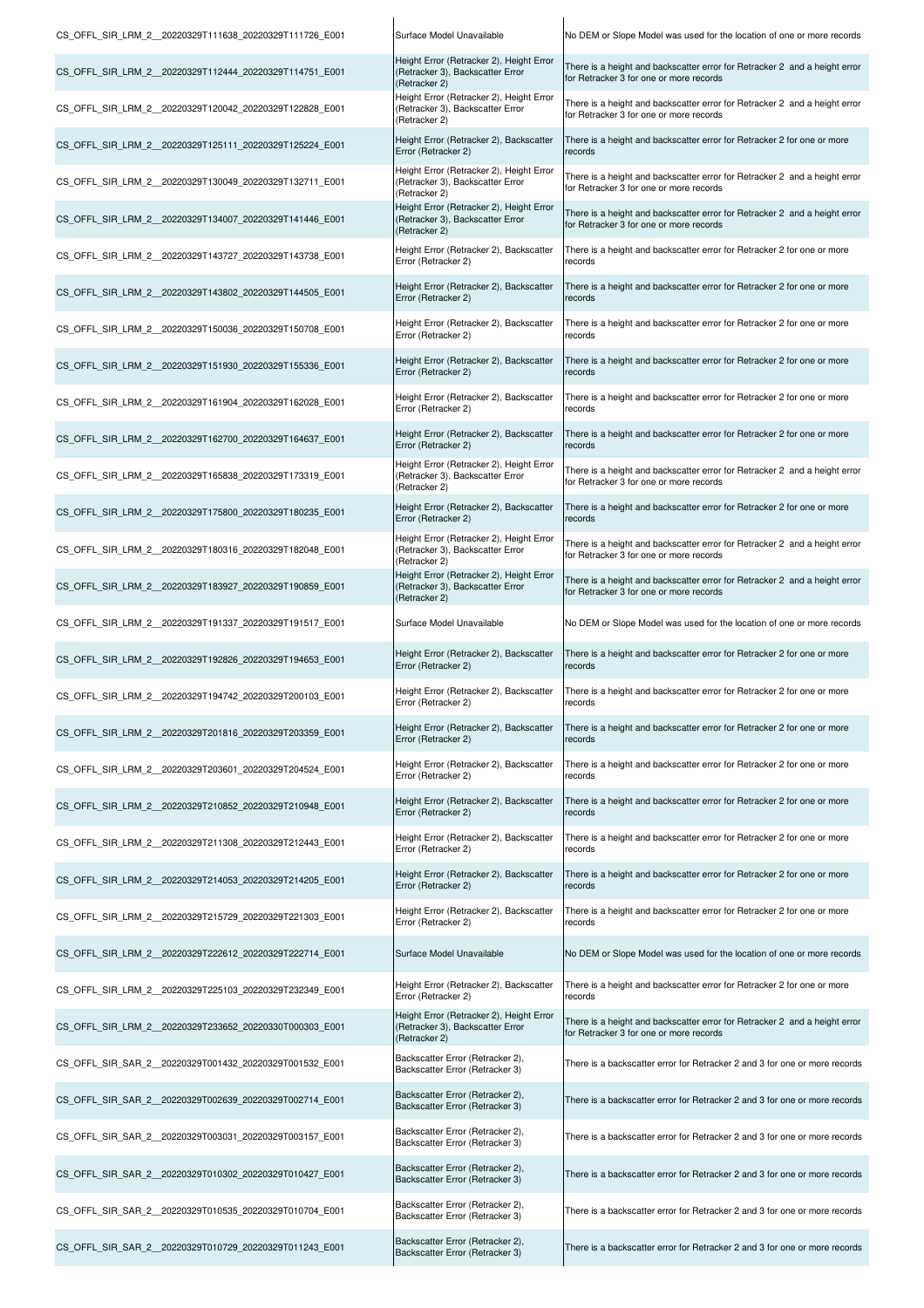| CS_OFFL_SIR_LRM_2__20220329T111638_20220329T111726_E001 | Surface Model Unavailable                                                                     | No DEM or Slope Model was used for the location of one or more records                                                       |
|---------------------------------------------------------|-----------------------------------------------------------------------------------------------|------------------------------------------------------------------------------------------------------------------------------|
| CS OFFL SIR LRM 2 20220329T112444 20220329T114751 E001  | Height Error (Retracker 2), Height Error<br>(Retracker 3), Backscatter Error<br>(Retracker 2) | There is a height and backscatter error for Retracker 2 and a height error<br>for Retracker 3 for one or more records        |
| CS OFFL SIR LRM 2 20220329T120042 20220329T122828 E001  | Height Error (Retracker 2), Height Error<br>(Retracker 3), Backscatter Error<br>(Retracker 2) | There is a height and backscatter error for Retracker 2 and a height error<br>for Retracker 3 for one or more records        |
| CS OFFL SIR LRM 2 20220329T125111 20220329T125224 E001  | Height Error (Retracker 2), Backscatter<br>Error (Retracker 2)                                | There is a height and backscatter error for Retracker 2 for one or more<br>records                                           |
| CS OFFL SIR LRM 2 20220329T130049 20220329T132711 E001  | Height Error (Retracker 2), Height Error<br>(Retracker 3), Backscatter Error<br>(Retracker 2) | There is a height and backscatter error for Retracker 2 and a height error<br>for Retracker 3 for one or more records        |
| CS OFFL SIR LRM 2 20220329T134007 20220329T141446 E001  | Height Error (Retracker 2), Height Error<br>(Retracker 3), Backscatter Error<br>(Retracker 2) | There is a height and backscatter error for Retracker 2 and a height error<br>for Retracker 3 for one or more records        |
| CS OFFL SIR LRM 2 20220329T143727 20220329T143738 E001  | Height Error (Retracker 2), Backscatter<br>Error (Retracker 2)                                | There is a height and backscatter error for Retracker 2 for one or more<br>records                                           |
| CS OFFL SIR LRM 2 20220329T143802 20220329T144505 E001  | Height Error (Retracker 2), Backscatter<br>Error (Retracker 2)                                | There is a height and backscatter error for Retracker 2 for one or more<br>records                                           |
| CS OFFL SIR LRM 2 20220329T150036 20220329T150708 E001  | Height Error (Retracker 2), Backscatter<br>Error (Retracker 2)                                | There is a height and backscatter error for Retracker 2 for one or more<br>records                                           |
| CS OFFL SIR LRM 2 20220329T151930 20220329T155336 E001  | Height Error (Retracker 2), Backscatter<br>Error (Retracker 2)                                | There is a height and backscatter error for Retracker 2 for one or more<br>records                                           |
| CS OFFL SIR LRM 2 20220329T161904 20220329T162028 E001  | Height Error (Retracker 2), Backscatter<br>Error (Retracker 2)                                | There is a height and backscatter error for Retracker 2 for one or more<br>records                                           |
| CS OFFL SIR LRM 2 20220329T162700 20220329T164637 E001  | Height Error (Retracker 2), Backscatter<br>Error (Retracker 2)                                | There is a height and backscatter error for Retracker 2 for one or more<br>records                                           |
| CS OFFL SIR LRM 2 20220329T165838 20220329T173319 E001  | Height Error (Retracker 2), Height Error<br>(Retracker 3), Backscatter Error<br>(Retracker 2) | There is a height and backscatter error for Retracker 2 and a height error<br>for Retracker 3 for one or more records        |
| CS OFFL SIR LRM 2 20220329T175800 20220329T180235 E001  | Height Error (Retracker 2), Backscatter<br>Error (Retracker 2)                                | There is a height and backscatter error for Retracker 2 for one or more<br>records                                           |
| CS OFFL SIR LRM 2 20220329T180316 20220329T182048 E001  | Height Error (Retracker 2), Height Error<br>(Retracker 3), Backscatter Error<br>(Retracker 2) | There is a height and backscatter error for Retracker 2 and a height error<br>for Retracker 3 for one or more records        |
| CS_OFFL_SIR_LRM_2_20220329T183927_20220329T190859_E001  | Height Error (Retracker 2), Height Error<br>(Retracker 3), Backscatter Error<br>(Retracker 2) | There is a height and backscatter error for Retracker 2 and a height error<br>for Retracker 3 for one or more records        |
| CS_OFFL_SIR_LRM_2_20220329T191337_20220329T191517_E001  | Surface Model Unavailable                                                                     | No DEM or Slope Model was used for the location of one or more records                                                       |
| CS OFFL SIR LRM 2 20220329T192826 20220329T194653 E001  | Height Error (Retracker 2), Backscatter<br>Error (Retracker 2)                                | There is a height and backscatter error for Retracker 2 for one or more<br>records                                           |
| CS OFFL SIR LRM 2 20220329T194742 20220329T200103 E001  | Height Error (Retracker 2), Backscatter<br>Error (Retracker 2)                                | There is a height and backscatter error for Retracker 2 for one or more<br>records                                           |
| CS OFFL SIR LRM 2 20220329T201816 20220329T203359 E001  | Error (Retracker 2)                                                                           | Height Error (Retracker 2), Backscatter   There is a height and backscatter error for Retracker 2 for one or more<br>records |
| CS OFFL SIR LRM 2 20220329T203601 20220329T204524 E001  | Height Error (Retracker 2), Backscatter<br>Error (Retracker 2)                                | There is a height and backscatter error for Retracker 2 for one or more<br>records                                           |
| CS OFFL SIR LRM 2 20220329T210852 20220329T210948 E001  | Height Error (Retracker 2), Backscatter<br>Error (Retracker 2)                                | There is a height and backscatter error for Retracker 2 for one or more<br>records                                           |
| CS OFFL SIR LRM 2 20220329T211308 20220329T212443 E001  | Height Error (Retracker 2), Backscatter<br>Error (Retracker 2)                                | There is a height and backscatter error for Retracker 2 for one or more<br>records                                           |
| CS OFFL SIR LRM 2 20220329T214053 20220329T214205 E001  | Height Error (Retracker 2), Backscatter<br>Error (Retracker 2)                                | There is a height and backscatter error for Retracker 2 for one or more<br>records                                           |
| CS OFFL SIR LRM 2 20220329T215729 20220329T221303 E001  | Height Error (Retracker 2), Backscatter<br>Error (Retracker 2)                                | There is a height and backscatter error for Retracker 2 for one or more<br>records                                           |
| CS OFFL SIR LRM 2 20220329T222612 20220329T222714 E001  | Surface Model Unavailable                                                                     | No DEM or Slope Model was used for the location of one or more records                                                       |
| CS OFFL SIR LRM 2 20220329T225103 20220329T232349 E001  | Height Error (Retracker 2), Backscatter<br>Error (Retracker 2)                                | There is a height and backscatter error for Retracker 2 for one or more<br>records                                           |
| CS OFFL SIR LRM 2 20220329T233652 20220330T000303 E001  | Height Error (Retracker 2), Height Error<br>(Retracker 3), Backscatter Error<br>(Retracker 2) | There is a height and backscatter error for Retracker 2 and a height error<br>for Retracker 3 for one or more records        |
| CS OFFL SIR SAR 2 20220329T001432 20220329T001532 E001  | Backscatter Error (Retracker 2),<br>Backscatter Error (Retracker 3)                           | There is a backscatter error for Retracker 2 and 3 for one or more records                                                   |
| CS OFFL SIR SAR 2 20220329T002639 20220329T002714 E001  | Backscatter Error (Retracker 2),<br>Backscatter Error (Retracker 3)                           | There is a backscatter error for Retracker 2 and 3 for one or more records                                                   |
| CS OFFL SIR SAR 2 20220329T003031 20220329T003157 E001  | Backscatter Error (Retracker 2),<br>Backscatter Error (Retracker 3)                           | There is a backscatter error for Retracker 2 and 3 for one or more records                                                   |
| CS OFFL SIR SAR 2 20220329T010302 20220329T010427 E001  | Backscatter Error (Retracker 2),<br>Backscatter Error (Retracker 3)                           | There is a backscatter error for Retracker 2 and 3 for one or more records                                                   |
| CS OFFL SIR SAR 2 20220329T010535 20220329T010704 E001  | Backscatter Error (Retracker 2),<br>Backscatter Error (Retracker 3)                           | There is a backscatter error for Retracker 2 and 3 for one or more records                                                   |
| CS OFFL SIR SAR 2 20220329T010729 20220329T011243 E001  | Backscatter Error (Retracker 2),<br>Backscatter Error (Retracker 3)                           | There is a backscatter error for Retracker 2 and 3 for one or more records                                                   |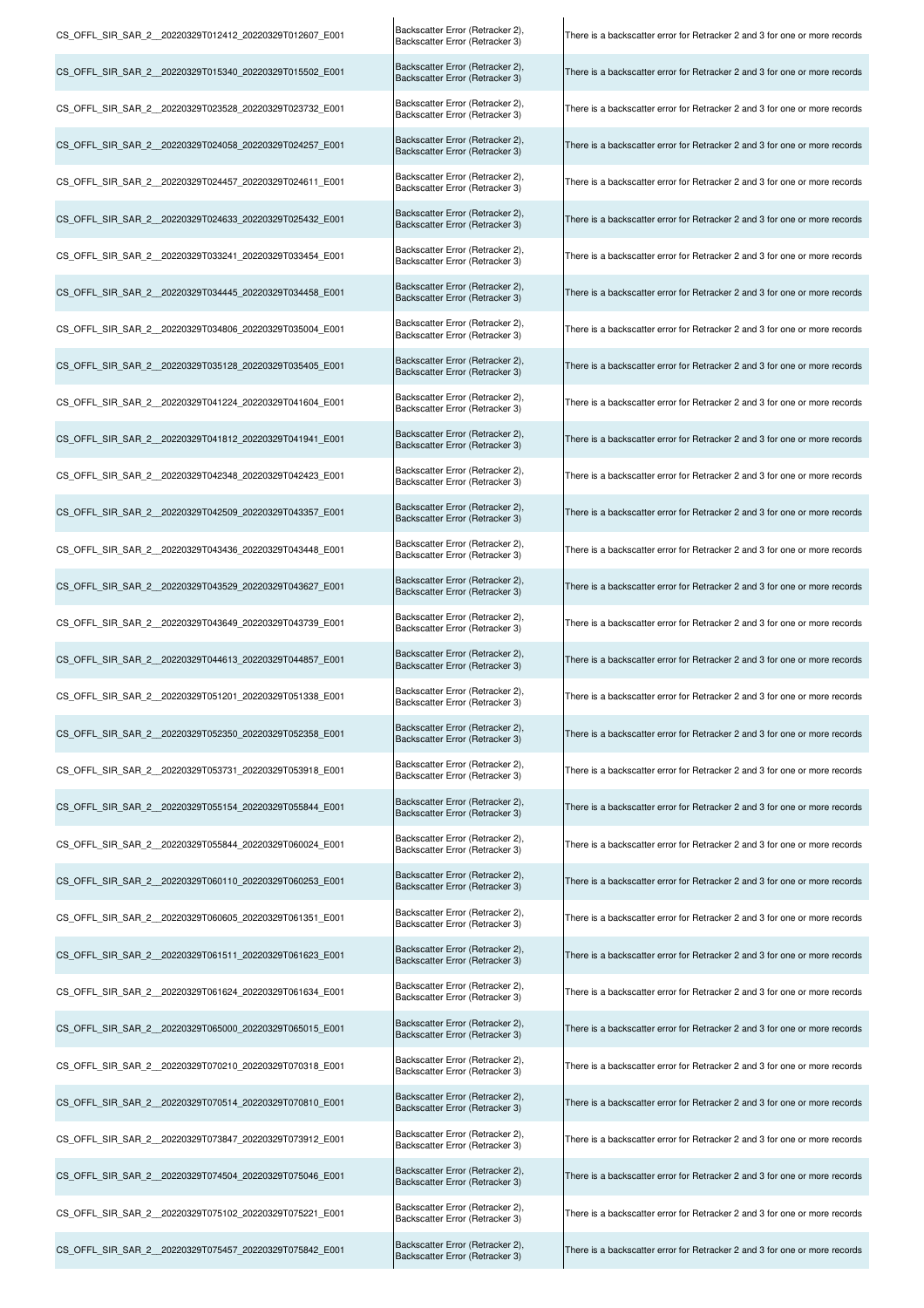| CS_OFFL_SIR_SAR_2_20220329T012412_20220329T012607_E001 | Backscatter Error (Retracker 2),<br>Backscatter Error (Retracker 3) | There is a backscatter error for Retracker 2 and 3 for one or more records |
|--------------------------------------------------------|---------------------------------------------------------------------|----------------------------------------------------------------------------|
| CS_OFFL_SIR_SAR_2_20220329T015340_20220329T015502_E001 | Backscatter Error (Retracker 2),<br>Backscatter Error (Retracker 3) | There is a backscatter error for Retracker 2 and 3 for one or more records |
| CS OFFL SIR SAR 2 20220329T023528 20220329T023732 E001 | Backscatter Error (Retracker 2),<br>Backscatter Error (Retracker 3) | There is a backscatter error for Retracker 2 and 3 for one or more records |
| CS_OFFL_SIR_SAR_2_20220329T024058_20220329T024257_E001 | Backscatter Error (Retracker 2),<br>Backscatter Error (Retracker 3) | There is a backscatter error for Retracker 2 and 3 for one or more records |
| CS OFFL SIR SAR 2 20220329T024457 20220329T024611 E001 | Backscatter Error (Retracker 2),<br>Backscatter Error (Retracker 3) | There is a backscatter error for Retracker 2 and 3 for one or more records |
| CS OFFL SIR SAR 2 20220329T024633 20220329T025432 E001 | Backscatter Error (Retracker 2),<br>Backscatter Error (Retracker 3) | There is a backscatter error for Retracker 2 and 3 for one or more records |
| CS OFFL SIR SAR 2 20220329T033241 20220329T033454 E001 | Backscatter Error (Retracker 2),<br>Backscatter Error (Retracker 3) | There is a backscatter error for Retracker 2 and 3 for one or more records |
| CS_OFFL_SIR_SAR_2_20220329T034445_20220329T034458_E001 | Backscatter Error (Retracker 2),<br>Backscatter Error (Retracker 3) | There is a backscatter error for Retracker 2 and 3 for one or more records |
| CS_OFFL_SIR_SAR_2_20220329T034806_20220329T035004_E001 | Backscatter Error (Retracker 2),<br>Backscatter Error (Retracker 3) | There is a backscatter error for Retracker 2 and 3 for one or more records |
| CS OFFL SIR SAR 2 20220329T035128 20220329T035405 E001 | Backscatter Error (Retracker 2),<br>Backscatter Error (Retracker 3) | There is a backscatter error for Retracker 2 and 3 for one or more records |
| CS OFFL SIR SAR 2 20220329T041224 20220329T041604 E001 | Backscatter Error (Retracker 2),<br>Backscatter Error (Retracker 3) | There is a backscatter error for Retracker 2 and 3 for one or more records |
| CS_OFFL_SIR_SAR_2_20220329T041812_20220329T041941_E001 | Backscatter Error (Retracker 2),<br>Backscatter Error (Retracker 3) | There is a backscatter error for Retracker 2 and 3 for one or more records |
| CS OFFL SIR SAR 2 20220329T042348 20220329T042423 E001 | Backscatter Error (Retracker 2),<br>Backscatter Error (Retracker 3) | There is a backscatter error for Retracker 2 and 3 for one or more records |
| CS OFFL SIR SAR 2 20220329T042509 20220329T043357 E001 | Backscatter Error (Retracker 2),<br>Backscatter Error (Retracker 3) | There is a backscatter error for Retracker 2 and 3 for one or more records |
| CS OFFL SIR SAR 2 20220329T043436 20220329T043448 E001 | Backscatter Error (Retracker 2),<br>Backscatter Error (Retracker 3) | There is a backscatter error for Retracker 2 and 3 for one or more records |
| CS OFFL SIR SAR 2 20220329T043529 20220329T043627 E001 | Backscatter Error (Retracker 2),<br>Backscatter Error (Retracker 3) | There is a backscatter error for Retracker 2 and 3 for one or more records |
| CS OFFL SIR SAR 2 20220329T043649 20220329T043739 E001 | Backscatter Error (Retracker 2),<br>Backscatter Error (Retracker 3) | There is a backscatter error for Retracker 2 and 3 for one or more records |
| CS_OFFL_SIR_SAR_2_20220329T044613_20220329T044857_E001 | Backscatter Error (Retracker 2),<br>Backscatter Error (Retracker 3) | There is a backscatter error for Retracker 2 and 3 for one or more records |
| CS OFFL SIR SAR 2 20220329T051201 20220329T051338 E001 | Backscatter Error (Retracker 2),<br>Backscatter Error (Retracker 3) | There is a backscatter error for Retracker 2 and 3 for one or more records |
| CS OFFL SIR SAR 2 20220329T052350 20220329T052358 E001 | Backscatter Error (Retracker 2),<br>Backscatter Error (Retracker 3) | There is a backscatter error for Retracker 2 and 3 for one or more records |
| CS OFFL SIR SAR 2 20220329T053731 20220329T053918 E001 | Backscatter Error (Retracker 2),<br>Backscatter Error (Retracker 3) | There is a backscatter error for Retracker 2 and 3 for one or more records |
| CS OFFL SIR SAR 2 20220329T055154 20220329T055844 E001 | Backscatter Error (Retracker 2),<br>Backscatter Error (Retracker 3) | There is a backscatter error for Retracker 2 and 3 for one or more records |
| CS OFFL SIR SAR 2 20220329T055844 20220329T060024 E001 | Backscatter Error (Retracker 2),<br>Backscatter Error (Retracker 3) | There is a backscatter error for Retracker 2 and 3 for one or more records |
| CS OFFL SIR SAR 2 20220329T060110 20220329T060253 E001 | Backscatter Error (Retracker 2),<br>Backscatter Error (Retracker 3) | There is a backscatter error for Retracker 2 and 3 for one or more records |
| CS OFFL SIR SAR 2 20220329T060605 20220329T061351 E001 | Backscatter Error (Retracker 2),<br>Backscatter Error (Retracker 3) | There is a backscatter error for Retracker 2 and 3 for one or more records |
| CS OFFL SIR SAR 2 20220329T061511 20220329T061623 E001 | Backscatter Error (Retracker 2),<br>Backscatter Error (Retracker 3) | There is a backscatter error for Retracker 2 and 3 for one or more records |
| CS OFFL SIR SAR 2 20220329T061624 20220329T061634 E001 | Backscatter Error (Retracker 2),<br>Backscatter Error (Retracker 3) | There is a backscatter error for Retracker 2 and 3 for one or more records |
| CS OFFL SIR SAR 2 20220329T065000 20220329T065015 E001 | Backscatter Error (Retracker 2),<br>Backscatter Error (Retracker 3) | There is a backscatter error for Retracker 2 and 3 for one or more records |
| CS OFFL SIR SAR 2 20220329T070210 20220329T070318 E001 | Backscatter Error (Retracker 2),<br>Backscatter Error (Retracker 3) | There is a backscatter error for Retracker 2 and 3 for one or more records |
| CS_OFFL_SIR_SAR_2_20220329T070514_20220329T070810_E001 | Backscatter Error (Retracker 2),<br>Backscatter Error (Retracker 3) | There is a backscatter error for Retracker 2 and 3 for one or more records |
| CS_OFFL_SIR_SAR_2_20220329T073847_20220329T073912_E001 | Backscatter Error (Retracker 2),<br>Backscatter Error (Retracker 3) | There is a backscatter error for Retracker 2 and 3 for one or more records |
| CS OFFL SIR SAR 2 20220329T074504 20220329T075046 E001 | Backscatter Error (Retracker 2),<br>Backscatter Error (Retracker 3) | There is a backscatter error for Retracker 2 and 3 for one or more records |
| CS OFFL SIR SAR 2 20220329T075102 20220329T075221 E001 | Backscatter Error (Retracker 2),<br>Backscatter Error (Retracker 3) | There is a backscatter error for Retracker 2 and 3 for one or more records |
| CS_OFFL_SIR_SAR_2_20220329T075457_20220329T075842_E001 | Backscatter Error (Retracker 2),<br>Backscatter Error (Retracker 3) | There is a backscatter error for Retracker 2 and 3 for one or more records |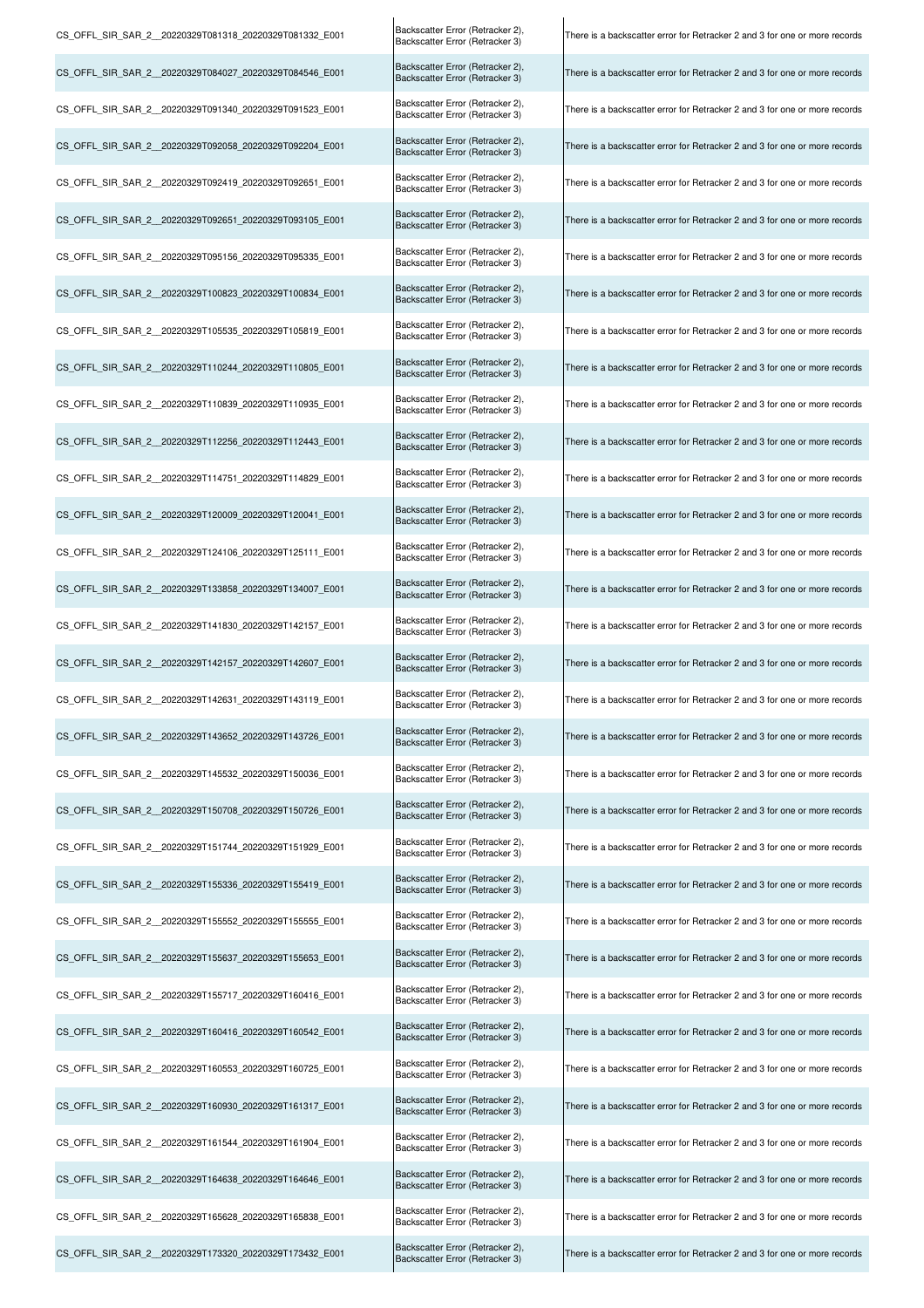| CS OFFL SIR SAR 2 20220329T081318 20220329T081332 E001 | Backscatter Error (Retracker 2),<br>Backscatter Error (Retracker 3) | There is a backscatter error for Retracker 2 and 3 for one or more records |
|--------------------------------------------------------|---------------------------------------------------------------------|----------------------------------------------------------------------------|
| CS OFFL SIR SAR 2 20220329T084027 20220329T084546 E001 | Backscatter Error (Retracker 2),<br>Backscatter Error (Retracker 3) | There is a backscatter error for Retracker 2 and 3 for one or more records |
| CS OFFL SIR SAR 2 20220329T091340 20220329T091523 E001 | Backscatter Error (Retracker 2),<br>Backscatter Error (Retracker 3) | There is a backscatter error for Retracker 2 and 3 for one or more records |
| CS_OFFL_SIR_SAR_2_20220329T092058_20220329T092204_E001 | Backscatter Error (Retracker 2),<br>Backscatter Error (Retracker 3) | There is a backscatter error for Retracker 2 and 3 for one or more records |
| CS OFFL SIR SAR 2 20220329T092419 20220329T092651 E001 | Backscatter Error (Retracker 2),<br>Backscatter Error (Retracker 3) | There is a backscatter error for Retracker 2 and 3 for one or more records |
| CS_OFFL_SIR_SAR_2_20220329T092651_20220329T093105_E001 | Backscatter Error (Retracker 2),<br>Backscatter Error (Retracker 3) | There is a backscatter error for Retracker 2 and 3 for one or more records |
| CS OFFL SIR SAR 2 20220329T095156 20220329T095335 E001 | Backscatter Error (Retracker 2),<br>Backscatter Error (Retracker 3) | There is a backscatter error for Retracker 2 and 3 for one or more records |
| CS_OFFL_SIR_SAR_2_20220329T100823_20220329T100834_E001 | Backscatter Error (Retracker 2),<br>Backscatter Error (Retracker 3) | There is a backscatter error for Retracker 2 and 3 for one or more records |
| CS OFFL SIR SAR 2 20220329T105535 20220329T105819 E001 | Backscatter Error (Retracker 2),<br>Backscatter Error (Retracker 3) | There is a backscatter error for Retracker 2 and 3 for one or more records |
| CS_OFFL_SIR_SAR_2_20220329T110244_20220329T110805_E001 | Backscatter Error (Retracker 2),<br>Backscatter Error (Retracker 3) | There is a backscatter error for Retracker 2 and 3 for one or more records |
| CS OFFL SIR SAR 2 20220329T110839 20220329T110935 E001 | Backscatter Error (Retracker 2),<br>Backscatter Error (Retracker 3) | There is a backscatter error for Retracker 2 and 3 for one or more records |
| CS OFFL SIR SAR 2 20220329T112256 20220329T112443 E001 | Backscatter Error (Retracker 2),<br>Backscatter Error (Retracker 3) | There is a backscatter error for Retracker 2 and 3 for one or more records |
| CS OFFL SIR SAR 2 20220329T114751 20220329T114829 E001 | Backscatter Error (Retracker 2),<br>Backscatter Error (Retracker 3) | There is a backscatter error for Retracker 2 and 3 for one or more records |
| CS_OFFL_SIR_SAR_2_20220329T120009_20220329T120041_E001 | Backscatter Error (Retracker 2),<br>Backscatter Error (Retracker 3) | There is a backscatter error for Retracker 2 and 3 for one or more records |
| CS OFFL SIR SAR 2 20220329T124106 20220329T125111 E001 | Backscatter Error (Retracker 2),<br>Backscatter Error (Retracker 3) | There is a backscatter error for Retracker 2 and 3 for one or more records |
| CS OFFL SIR SAR 2 20220329T133858 20220329T134007 E001 | Backscatter Error (Retracker 2),<br>Backscatter Error (Retracker 3) | There is a backscatter error for Retracker 2 and 3 for one or more records |
| CS_OFFL_SIR_SAR_2_20220329T141830_20220329T142157_E001 | Backscatter Error (Retracker 2),<br>Backscatter Error (Retracker 3) | There is a backscatter error for Retracker 2 and 3 for one or more records |
| CS_OFFL_SIR_SAR_2_20220329T142157_20220329T142607_E001 | Backscatter Error (Retracker 2),<br>Backscatter Error (Retracker 3) | There is a backscatter error for Retracker 2 and 3 for one or more records |
| CS_OFFL_SIR_SAR_2_20220329T142631_20220329T143119_E001 | Backscatter Error (Retracker 2),<br>Backscatter Error (Retracker 3) | There is a backscatter error for Retracker 2 and 3 for one or more records |
| CS OFFL SIR SAR 2 20220329T143652 20220329T143726 E001 | Backscatter Error (Retracker 2),<br>Backscatter Error (Retracker 3) | There is a backscatter error for Retracker 2 and 3 for one or more records |
| CS OFFL SIR SAR 2 20220329T145532 20220329T150036 E001 | Backscatter Error (Retracker 2),<br>Backscatter Error (Retracker 3) | There is a backscatter error for Retracker 2 and 3 for one or more records |
| CS OFFL SIR SAR 2 20220329T150708 20220329T150726 E001 | Backscatter Error (Retracker 2),<br>Backscatter Error (Retracker 3) | There is a backscatter error for Retracker 2 and 3 for one or more records |
| CS OFFL SIR SAR 2 20220329T151744 20220329T151929 E001 | Backscatter Error (Retracker 2),<br>Backscatter Error (Retracker 3) | There is a backscatter error for Retracker 2 and 3 for one or more records |
| CS OFFL SIR SAR 2 20220329T155336 20220329T155419 E001 | Backscatter Error (Retracker 2),<br>Backscatter Error (Retracker 3) | There is a backscatter error for Retracker 2 and 3 for one or more records |
| CS_OFFL_SIR_SAR_2_20220329T155552_20220329T155555_E001 | Backscatter Error (Retracker 2),<br>Backscatter Error (Retracker 3) | There is a backscatter error for Retracker 2 and 3 for one or more records |
| CS OFFL SIR SAR 2 20220329T155637 20220329T155653 E001 | Backscatter Error (Retracker 2),<br>Backscatter Error (Retracker 3) | There is a backscatter error for Retracker 2 and 3 for one or more records |
| CS OFFL SIR SAR 2 20220329T155717 20220329T160416 E001 | Backscatter Error (Retracker 2),<br>Backscatter Error (Retracker 3) | There is a backscatter error for Retracker 2 and 3 for one or more records |
| CS OFFL SIR SAR 2 20220329T160416 20220329T160542 E001 | Backscatter Error (Retracker 2),<br>Backscatter Error (Retracker 3) | There is a backscatter error for Retracker 2 and 3 for one or more records |
| CS OFFL SIR SAR 2 20220329T160553 20220329T160725 E001 | Backscatter Error (Retracker 2),<br>Backscatter Error (Retracker 3) | There is a backscatter error for Retracker 2 and 3 for one or more records |
| CS OFFL SIR SAR 2 20220329T160930 20220329T161317 E001 | Backscatter Error (Retracker 2),<br>Backscatter Error (Retracker 3) | There is a backscatter error for Retracker 2 and 3 for one or more records |
| CS_OFFL_SIR_SAR_2_20220329T161544_20220329T161904_E001 | Backscatter Error (Retracker 2),<br>Backscatter Error (Retracker 3) | There is a backscatter error for Retracker 2 and 3 for one or more records |
| CS_OFFL_SIR_SAR_2_20220329T164638_20220329T164646_E001 | Backscatter Error (Retracker 2),<br>Backscatter Error (Retracker 3) | There is a backscatter error for Retracker 2 and 3 for one or more records |
| CS OFFL SIR SAR 2 20220329T165628 20220329T165838 E001 | Backscatter Error (Retracker 2),<br>Backscatter Error (Retracker 3) | There is a backscatter error for Retracker 2 and 3 for one or more records |
| CS OFFL SIR SAR 2 20220329T173320 20220329T173432 E001 | Backscatter Error (Retracker 2),<br>Backscatter Error (Retracker 3) | There is a backscatter error for Retracker 2 and 3 for one or more records |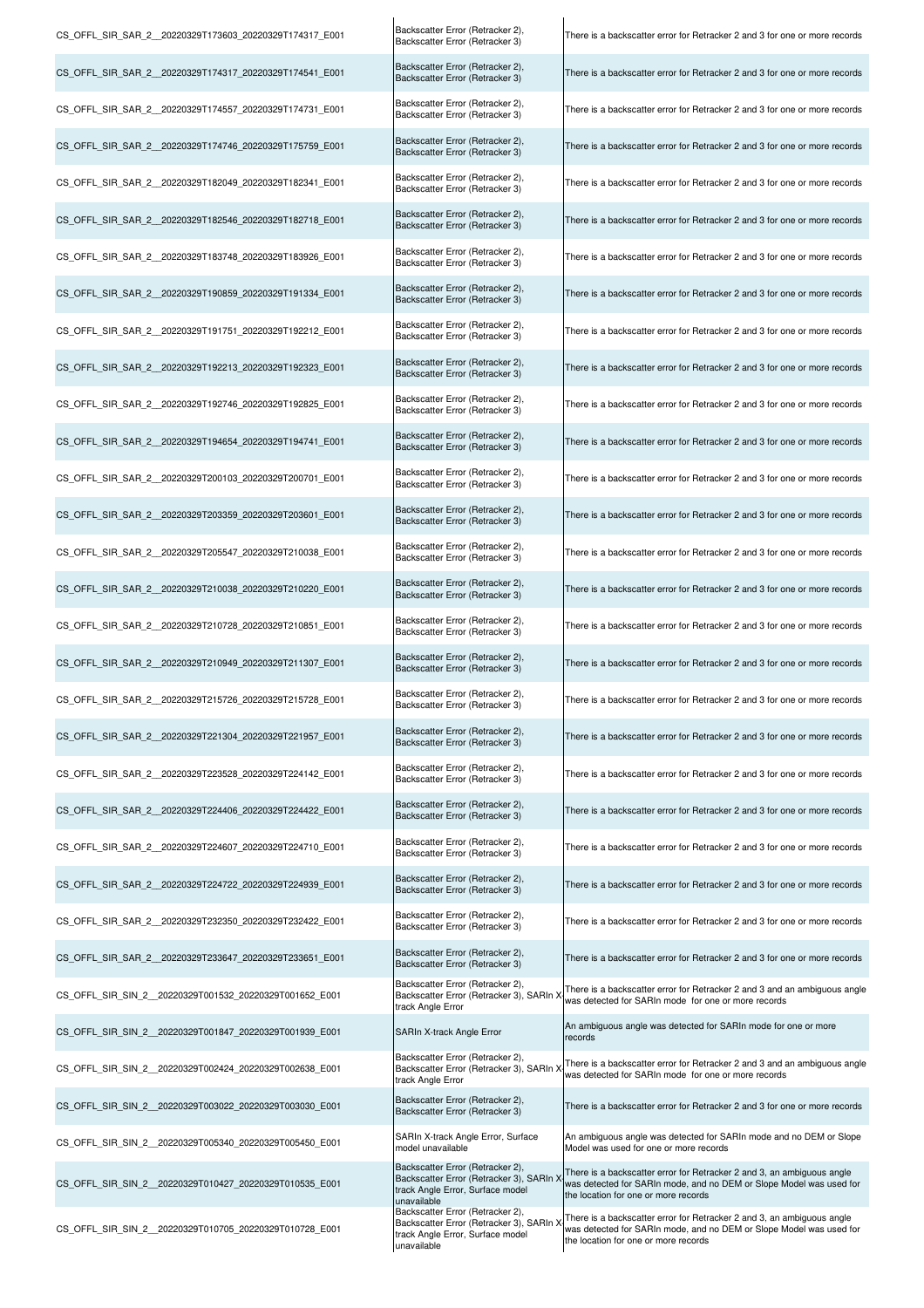| CS_OFFL_SIR_SAR_2_20220329T173603_20220329T174317_E001  | Backscatter Error (Retracker 2),<br>Backscatter Error (Retracker 3)                                                                            | There is a backscatter error for Retracker 2 and 3 for one or more records                                                                                                            |
|---------------------------------------------------------|------------------------------------------------------------------------------------------------------------------------------------------------|---------------------------------------------------------------------------------------------------------------------------------------------------------------------------------------|
| CS_OFFL_SIR_SAR_2_20220329T174317_20220329T174541_E001  | Backscatter Error (Retracker 2),<br>Backscatter Error (Retracker 3)                                                                            | There is a backscatter error for Retracker 2 and 3 for one or more records                                                                                                            |
| CS_OFFL_SIR_SAR_2_20220329T174557_20220329T174731_E001  | Backscatter Error (Retracker 2),<br>Backscatter Error (Retracker 3)                                                                            | There is a backscatter error for Retracker 2 and 3 for one or more records                                                                                                            |
| CS_OFFL_SIR_SAR_2_20220329T174746_20220329T175759_E001  | Backscatter Error (Retracker 2),<br>Backscatter Error (Retracker 3)                                                                            | There is a backscatter error for Retracker 2 and 3 for one or more records                                                                                                            |
| CS OFFL SIR SAR 2 20220329T182049 20220329T182341 E001  | Backscatter Error (Retracker 2),<br>Backscatter Error (Retracker 3)                                                                            | There is a backscatter error for Retracker 2 and 3 for one or more records                                                                                                            |
| CS OFFL SIR SAR 2 20220329T182546 20220329T182718 E001  | Backscatter Error (Retracker 2),<br>Backscatter Error (Retracker 3)                                                                            | There is a backscatter error for Retracker 2 and 3 for one or more records                                                                                                            |
| CS_OFFL_SIR_SAR_2__20220329T183748_20220329T183926_E001 | Backscatter Error (Retracker 2),<br>Backscatter Error (Retracker 3)                                                                            | There is a backscatter error for Retracker 2 and 3 for one or more records                                                                                                            |
| CS OFFL SIR SAR 2 20220329T190859 20220329T191334 E001  | Backscatter Error (Retracker 2),<br>Backscatter Error (Retracker 3)                                                                            | There is a backscatter error for Retracker 2 and 3 for one or more records                                                                                                            |
| CS_OFFL_SIR_SAR_2__20220329T191751_20220329T192212_E001 | Backscatter Error (Retracker 2),<br>Backscatter Error (Retracker 3)                                                                            | There is a backscatter error for Retracker 2 and 3 for one or more records                                                                                                            |
| CS OFFL SIR SAR 2 20220329T192213 20220329T192323 E001  | Backscatter Error (Retracker 2),<br>Backscatter Error (Retracker 3)                                                                            | There is a backscatter error for Retracker 2 and 3 for one or more records                                                                                                            |
| CS OFFL SIR SAR 2 20220329T192746 20220329T192825 E001  | Backscatter Error (Retracker 2),<br>Backscatter Error (Retracker 3)                                                                            | There is a backscatter error for Retracker 2 and 3 for one or more records                                                                                                            |
| CS OFFL SIR SAR 2 20220329T194654 20220329T194741 E001  | Backscatter Error (Retracker 2),<br>Backscatter Error (Retracker 3)                                                                            | There is a backscatter error for Retracker 2 and 3 for one or more records                                                                                                            |
| CS_OFFL_SIR_SAR_2_20220329T200103_20220329T200701_E001  | Backscatter Error (Retracker 2),<br>Backscatter Error (Retracker 3)                                                                            | There is a backscatter error for Retracker 2 and 3 for one or more records                                                                                                            |
| CS_OFFL_SIR_SAR_2_20220329T203359_20220329T203601_E001  | Backscatter Error (Retracker 2),<br>Backscatter Error (Retracker 3)                                                                            | There is a backscatter error for Retracker 2 and 3 for one or more records                                                                                                            |
| CS_OFFL_SIR_SAR_2_20220329T205547_20220329T210038_E001  | Backscatter Error (Retracker 2),<br>Backscatter Error (Retracker 3)                                                                            | There is a backscatter error for Retracker 2 and 3 for one or more records                                                                                                            |
| CS_OFFL_SIR_SAR_2__20220329T210038_20220329T210220_E001 | Backscatter Error (Retracker 2),<br>Backscatter Error (Retracker 3)                                                                            | There is a backscatter error for Retracker 2 and 3 for one or more records                                                                                                            |
| CS_OFFL_SIR_SAR_2_20220329T210728_20220329T210851_E001  | Backscatter Error (Retracker 2),<br>Backscatter Error (Retracker 3)                                                                            | There is a backscatter error for Retracker 2 and 3 for one or more records                                                                                                            |
| CS_OFFL_SIR_SAR_2_20220329T210949_20220329T211307_E001  | Backscatter Error (Retracker 2),<br>Backscatter Error (Retracker 3)                                                                            | There is a backscatter error for Retracker 2 and 3 for one or more records                                                                                                            |
| CS_OFFL_SIR_SAR_2_20220329T215726_20220329T215728_E001  | Backscatter Error (Retracker 2),<br>Backscatter Error (Retracker 3)                                                                            | There is a backscatter error for Retracker 2 and 3 for one or more records                                                                                                            |
| CS_OFFL_SIR_SAR_2_20220329T221304_20220329T221957_E001  | Backscatter Error (Retracker 2),<br>Backscatter Error (Retracker 3)                                                                            | There is a backscatter error for Retracker 2 and 3 for one or more records                                                                                                            |
| CS_OFFL_SIR_SAR_2_20220329T223528_20220329T224142_E001  | Backscatter Error (Retracker 2),<br>Backscatter Error (Retracker 3)                                                                            | There is a backscatter error for Retracker 2 and 3 for one or more records                                                                                                            |
| CS OFFL SIR SAR 2 20220329T224406 20220329T224422 E001  | Backscatter Error (Retracker 2),<br>Backscatter Error (Retracker 3)                                                                            | There is a backscatter error for Retracker 2 and 3 for one or more records                                                                                                            |
| CS_OFFL_SIR_SAR_2_20220329T224607_20220329T224710_E001  | Backscatter Error (Retracker 2),<br>Backscatter Error (Retracker 3)                                                                            | There is a backscatter error for Retracker 2 and 3 for one or more records                                                                                                            |
| CS_OFFL_SIR_SAR_2_20220329T224722_20220329T224939_E001  | Backscatter Error (Retracker 2),<br>Backscatter Error (Retracker 3)                                                                            | There is a backscatter error for Retracker 2 and 3 for one or more records                                                                                                            |
| CS OFFL SIR SAR 2 20220329T232350 20220329T232422 E001  | Backscatter Error (Retracker 2),<br>Backscatter Error (Retracker 3)                                                                            | There is a backscatter error for Retracker 2 and 3 for one or more records                                                                                                            |
| CS OFFL SIR SAR 2 20220329T233647 20220329T233651 E001  | Backscatter Error (Retracker 2),<br>Backscatter Error (Retracker 3)                                                                            | There is a backscatter error for Retracker 2 and 3 for one or more records                                                                                                            |
| CS_OFFL_SIR_SIN_2_20220329T001532_20220329T001652_E001  | Backscatter Error (Retracker 2),<br>Backscatter Error (Retracker 3), SARIn ><br>track Angle Error                                              | There is a backscatter error for Retracker 2 and 3 and an ambiguous angle<br>was detected for SARIn mode for one or more records                                                      |
| CS_OFFL_SIR_SIN_2_20220329T001847_20220329T001939_E001  | SARIn X-track Angle Error                                                                                                                      | An ambiguous angle was detected for SARIn mode for one or more<br>records                                                                                                             |
| CS_OFFL_SIR_SIN_2_20220329T002424_20220329T002638_E001  | Backscatter Error (Retracker 2),<br>Backscatter Error (Retracker 3), SARIn ><br>track Angle Error                                              | There is a backscatter error for Retracker 2 and 3 and an ambiguous angle<br>was detected for SARIn mode for one or more records                                                      |
| CS_OFFL_SIR_SIN_2_20220329T003022_20220329T003030_E001  | Backscatter Error (Retracker 2),<br>Backscatter Error (Retracker 3)                                                                            | There is a backscatter error for Retracker 2 and 3 for one or more records                                                                                                            |
| CS OFFL SIR SIN 2 20220329T005340 20220329T005450 E001  | SARIn X-track Angle Error, Surface<br>model unavailable                                                                                        | An ambiguous angle was detected for SARIn mode and no DEM or Slope<br>Model was used for one or more records                                                                          |
| CS_OFFL_SIR_SIN_2_20220329T010427_20220329T010535_E001  | Backscatter Error (Retracker 2),<br>Backscatter Error (Retracker 3), SARIn ><br>track Angle Error, Surface model                               | There is a backscatter error for Retracker 2 and 3, an ambiguous angle<br>was detected for SARIn mode, and no DEM or Slope Model was used for<br>the location for one or more records |
| CS_OFFL_SIR_SIN_2_20220329T010705_20220329T010728_E001  | unavailable<br>Backscatter Error (Retracker 2),<br>Backscatter Error (Retracker 3), SARIn ><br>track Angle Error, Surface model<br>unavailable | There is a backscatter error for Retracker 2 and 3, an ambiguous angle<br>was detected for SARIn mode, and no DEM or Slope Model was used for<br>the location for one or more records |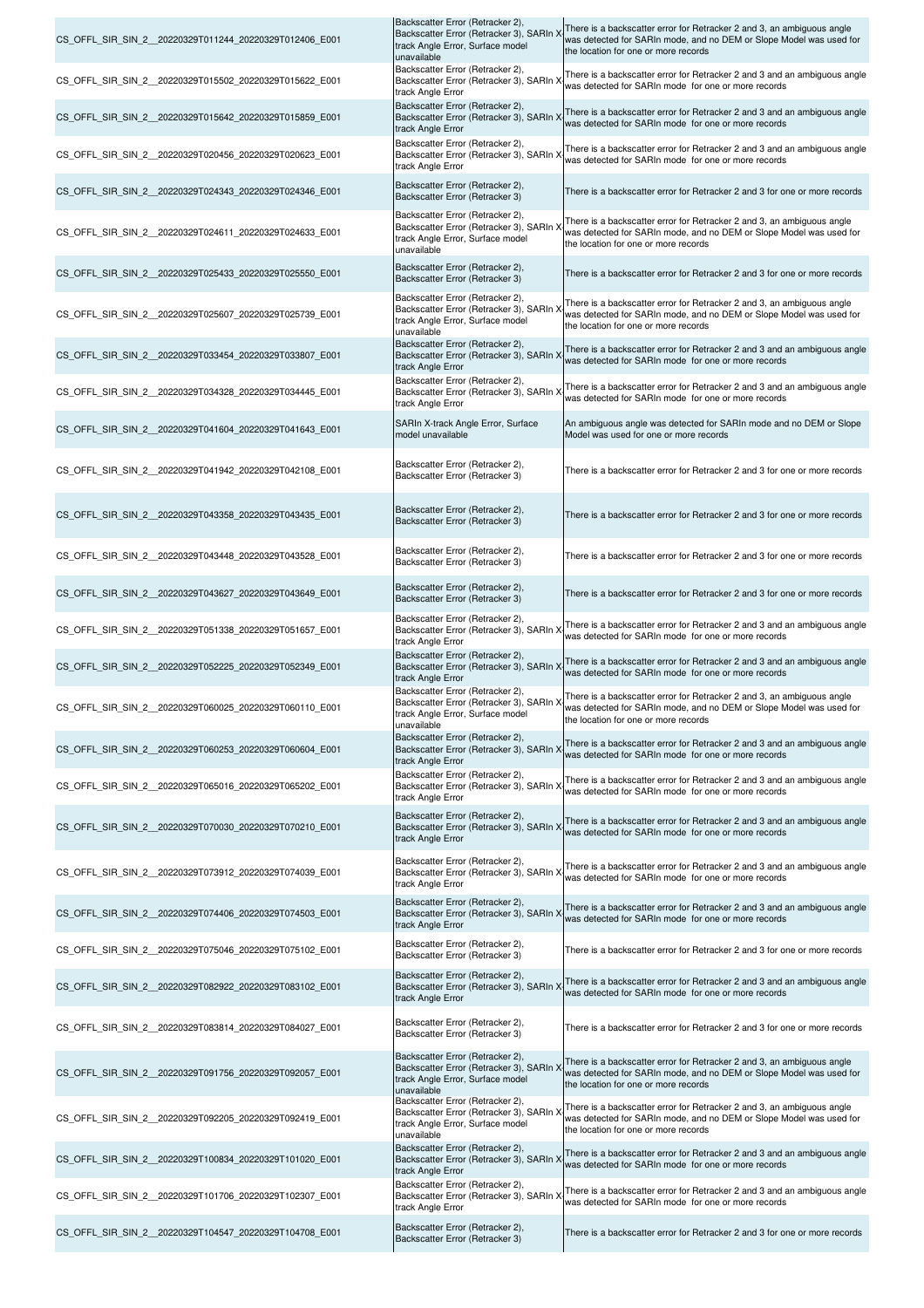| CS OFFL SIR SIN 2 20220329T011244 20220329T012406 E001 | Backscatter Error (Retracker 2),<br>Backscatter Error (Retracker 3), SARIn X<br>track Angle Error, Surface model<br>unavailable | There is a backscatter error for Retracker 2 and 3, an ambiguous angle<br>was detected for SARIn mode, and no DEM or Slope Model was used for<br>the location for one or more records |
|--------------------------------------------------------|---------------------------------------------------------------------------------------------------------------------------------|---------------------------------------------------------------------------------------------------------------------------------------------------------------------------------------|
| CS_OFFL_SIR_SIN_2_20220329T015502_20220329T015622_E001 | Backscatter Error (Retracker 2),<br>Backscatter Error (Retracker 3), SARIn X<br>track Angle Error                               | There is a backscatter error for Retracker 2 and 3 and an ambiguous angle<br>was detected for SARIn mode for one or more records                                                      |
| CS_OFFL_SIR_SIN_2_20220329T015642_20220329T015859_E001 | Backscatter Error (Retracker 2),<br>Backscatter Error (Retracker 3), SARIn X<br>track Angle Error                               | There is a backscatter error for Retracker 2 and 3 and an ambiguous angle<br>was detected for SARIn mode for one or more records                                                      |
| CS_OFFL_SIR_SIN_2_20220329T020456_20220329T020623_E001 | Backscatter Error (Retracker 2),<br>Backscatter Error (Retracker 3), SARIn X<br>track Angle Error                               | There is a backscatter error for Retracker 2 and 3 and an ambiguous angle<br>was detected for SARIn mode for one or more records                                                      |
| CS OFFL SIR SIN 2 20220329T024343 20220329T024346 E001 | Backscatter Error (Retracker 2),<br>Backscatter Error (Retracker 3)                                                             | There is a backscatter error for Retracker 2 and 3 for one or more records                                                                                                            |
| CS_OFFL_SIR_SIN_2_20220329T024611_20220329T024633_E001 | Backscatter Error (Retracker 2),<br>Backscatter Error (Retracker 3), SARIn ><br>track Angle Error, Surface model<br>unavailable | There is a backscatter error for Retracker 2 and 3, an ambiguous angle<br>was detected for SARIn mode, and no DEM or Slope Model was used for<br>the location for one or more records |
| CS_OFFL_SIR_SIN_2_20220329T025433_20220329T025550_E001 | Backscatter Error (Retracker 2),<br>Backscatter Error (Retracker 3)                                                             | There is a backscatter error for Retracker 2 and 3 for one or more records                                                                                                            |
| CS_OFFL_SIR_SIN_2_20220329T025607_20220329T025739_E001 | Backscatter Error (Retracker 2),<br>Backscatter Error (Retracker 3), SARIn )<br>track Angle Error, Surface model<br>unavailable | There is a backscatter error for Retracker 2 and 3, an ambiguous angle<br>was detected for SARIn mode, and no DEM or Slope Model was used for<br>the location for one or more records |
| CS_OFFL_SIR_SIN_2_20220329T033454_20220329T033807_E001 | Backscatter Error (Retracker 2),<br>Backscatter Error (Retracker 3), SARIn ><br>track Angle Error                               | There is a backscatter error for Retracker 2 and 3 and an ambiguous angle<br>was detected for SARIn mode for one or more records                                                      |
| CS_OFFL_SIR_SIN_2_20220329T034328_20220329T034445_E001 | Backscatter Error (Retracker 2),<br>Backscatter Error (Retracker 3), SARIn ><br>track Angle Error                               | There is a backscatter error for Retracker 2 and 3 and an ambiguous angle<br>was detected for SARIn mode for one or more records                                                      |
| CS_OFFL_SIR_SIN_2_20220329T041604_20220329T041643_E001 | SARIn X-track Angle Error, Surface<br>model unavailable                                                                         | An ambiguous angle was detected for SARIn mode and no DEM or Slope<br>Model was used for one or more records                                                                          |
| CS_OFFL_SIR_SIN_2_20220329T041942_20220329T042108_E001 | Backscatter Error (Retracker 2),<br>Backscatter Error (Retracker 3)                                                             | There is a backscatter error for Retracker 2 and 3 for one or more records                                                                                                            |
| CS_OFFL_SIR_SIN_2_20220329T043358_20220329T043435_E001 | Backscatter Error (Retracker 2),<br>Backscatter Error (Retracker 3)                                                             | There is a backscatter error for Retracker 2 and 3 for one or more records                                                                                                            |
| CS_OFFL_SIR_SIN_2_20220329T043448_20220329T043528_E001 | Backscatter Error (Retracker 2),<br>Backscatter Error (Retracker 3)                                                             | There is a backscatter error for Retracker 2 and 3 for one or more records                                                                                                            |
| CS_OFFL_SIR_SIN_2_20220329T043627_20220329T043649_E001 | Backscatter Error (Retracker 2),<br>Backscatter Error (Retracker 3)                                                             | There is a backscatter error for Retracker 2 and 3 for one or more records                                                                                                            |
| CS OFFL SIR SIN 2 20220329T051338 20220329T051657 E001 | Backscatter Error (Retracker 2),<br>Backscatter Error (Retracker 3), SARIn ><br>track Angle Error                               | There is a backscatter error for Retracker 2 and 3 and an ambiguous angle<br>was detected for SARIn mode for one or more records                                                      |
| CS OFFL SIR SIN 2 20220329T052225 20220329T052349 E001 | Backscatter Error (Retracker 2),<br>Backscatter Error (Retracker 3), SARIn ><br>track Angle Error                               | There is a backscatter error for Retracker 2 and 3 and an ambiguous angle<br>was detected for SARIn mode for one or more records                                                      |
| CS_OFFL_SIR_SIN_2_20220329T060025_20220329T060110_E001 | Backscatter Error (Retracker 2),<br>Backscatter Error (Retracker 3), SARIn X<br>track Angle Error, Surface model<br>unavailable | There is a backscatter error for Retracker 2 and 3, an ambiguous angle<br>was detected for SARIn mode, and no DEM or Slope Model was used for<br>the location for one or more records |
| CS OFFL SIR SIN 2 20220329T060253 20220329T060604 E001 | Backscatter Error (Retracker 2),<br>Backscatter Error (Retracker 3), SARIn ><br>track Angle Error                               | There is a backscatter error for Retracker 2 and 3 and an ambiguous angle<br>was detected for SARIn mode for one or more records                                                      |
| CS OFFL SIR SIN 2 20220329T065016 20220329T065202 E001 | Backscatter Error (Retracker 2),<br>Backscatter Error (Retracker 3), SARIn ><br>track Angle Error                               | There is a backscatter error for Retracker 2 and 3 and an ambiguous angle<br>was detected for SARIn mode for one or more records                                                      |
| CS OFFL SIR SIN 2 20220329T070030 20220329T070210 E001 | Backscatter Error (Retracker 2),<br>Backscatter Error (Retracker 3), SARIn X<br>track Angle Error                               | There is a backscatter error for Retracker 2 and 3 and an ambiguous angle<br>was detected for SARIn mode for one or more records                                                      |
| CS_OFFL_SIR_SIN_2_20220329T073912_20220329T074039_E001 | Backscatter Error (Retracker 2),<br>Backscatter Error (Retracker 3), SARIn X<br>track Angle Error                               | There is a backscatter error for Retracker 2 and 3 and an ambiguous angle<br>was detected for SARIn mode for one or more records                                                      |
| CS OFFL SIR SIN 2 20220329T074406 20220329T074503 E001 | Backscatter Error (Retracker 2),<br>Backscatter Error (Retracker 3), SARIn ><br>track Angle Error                               | There is a backscatter error for Retracker 2 and 3 and an ambiguous angle<br>was detected for SARIn mode for one or more records                                                      |
| CS_OFFL_SIR_SIN_2_20220329T075046_20220329T075102_E001 | Backscatter Error (Retracker 2),<br>Backscatter Error (Retracker 3)                                                             | There is a backscatter error for Retracker 2 and 3 for one or more records                                                                                                            |
| CS OFFL SIR SIN 2 20220329T082922 20220329T083102 E001 | Backscatter Error (Retracker 2),<br>Backscatter Error (Retracker 3), SARIn ><br>track Angle Error                               | There is a backscatter error for Retracker 2 and 3 and an ambiguous angle<br>was detected for SARIn mode for one or more records                                                      |
| CS OFFL SIR SIN 2 20220329T083814 20220329T084027 E001 | Backscatter Error (Retracker 2),<br>Backscatter Error (Retracker 3)                                                             | There is a backscatter error for Retracker 2 and 3 for one or more records                                                                                                            |
| CS_OFFL_SIR_SIN_2_20220329T091756_20220329T092057_E001 | Backscatter Error (Retracker 2),<br>Backscatter Error (Retracker 3), SARIn X<br>track Angle Error, Surface model<br>unavailable | There is a backscatter error for Retracker 2 and 3, an ambiguous angle<br>was detected for SARIn mode, and no DEM or Slope Model was used for<br>the location for one or more records |
| CS OFFL SIR SIN 2 20220329T092205 20220329T092419 E001 | Backscatter Error (Retracker 2),<br>Backscatter Error (Retracker 3), SARIn ><br>track Angle Error, Surface model<br>unavailable | There is a backscatter error for Retracker 2 and 3, an ambiguous angle<br>was detected for SARIn mode, and no DEM or Slope Model was used for<br>the location for one or more records |
| CS_OFFL_SIR_SIN_2_20220329T100834_20220329T101020_E001 | Backscatter Error (Retracker 2),<br>Backscatter Error (Retracker 3), SARIn ><br>track Angle Error                               | There is a backscatter error for Retracker 2 and 3 and an ambiguous angle<br>was detected for SARIn mode for one or more records                                                      |
| CS_OFFL_SIR_SIN_2_20220329T101706_20220329T102307_E001 | Backscatter Error (Retracker 2),<br>Backscatter Error (Retracker 3), SARIn ><br>track Angle Error                               | There is a backscatter error for Retracker 2 and 3 and an ambiguous angle<br>was detected for SARIn mode for one or more records                                                      |
| CS_OFFL_SIR_SIN_2_20220329T104547_20220329T104708_E001 | Backscatter Error (Retracker 2),<br>Backscatter Error (Retracker 3)                                                             | There is a backscatter error for Retracker 2 and 3 for one or more records                                                                                                            |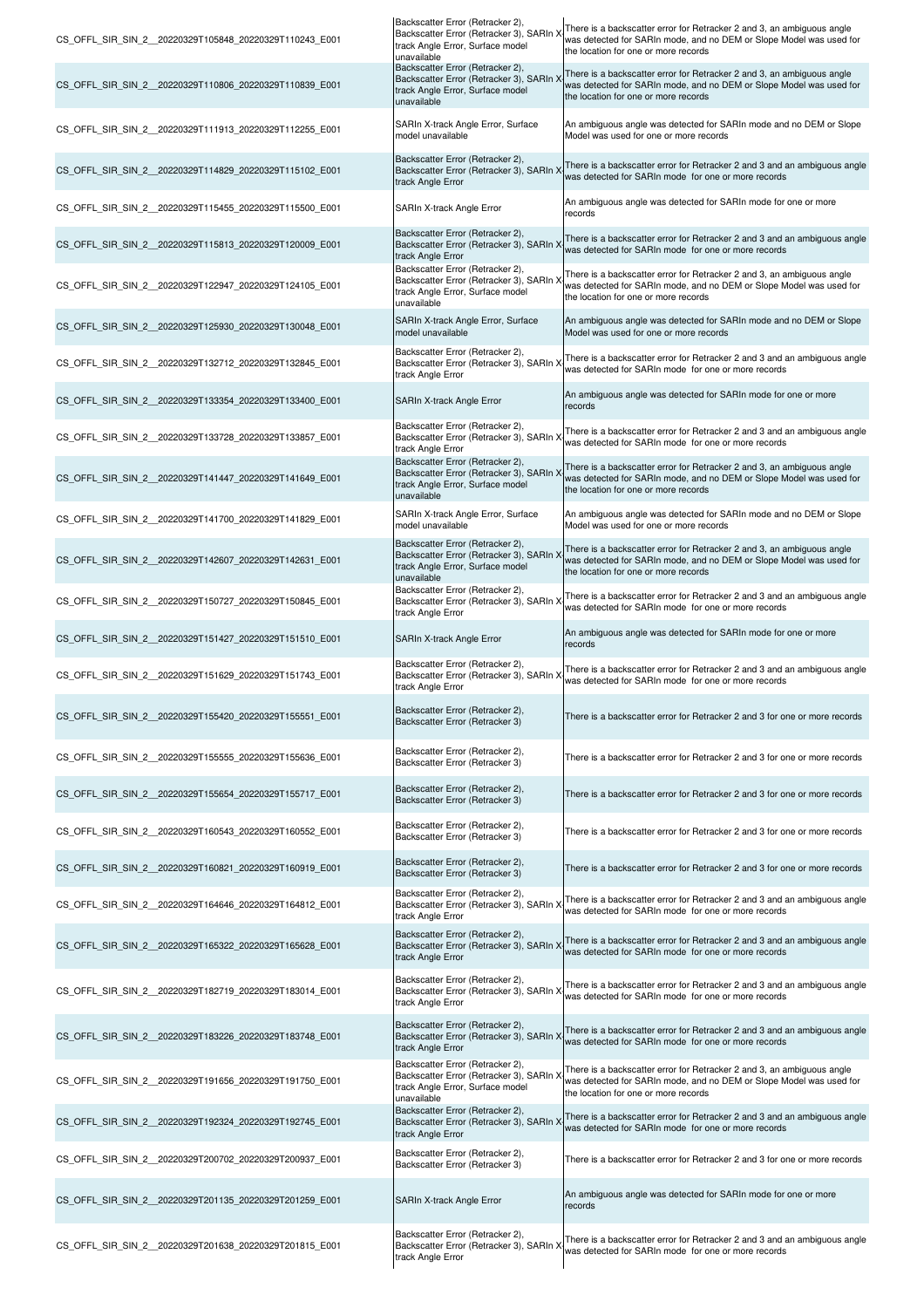| CS_OFFL_SIR_SIN_2_20220329T105848_20220329T110243_E001 | Backscatter Error (Retracker 2),<br>Backscatter Error (Retracker 3), SARIn )<br>track Angle Error, Surface model                               | There is a backscatter error for Retracker 2 and 3, an ambiguous angle<br>was detected for SARIn mode, and no DEM or Slope Model was used for<br>the location for one or more records |
|--------------------------------------------------------|------------------------------------------------------------------------------------------------------------------------------------------------|---------------------------------------------------------------------------------------------------------------------------------------------------------------------------------------|
| CS_OFFL_SIR_SIN_2_20220329T110806_20220329T110839_E001 | unavailable<br>Backscatter Error (Retracker 2),<br>Backscatter Error (Retracker 3), SARIn )<br>track Angle Error, Surface model<br>unavailable | There is a backscatter error for Retracker 2 and 3, an ambiguous angle<br>was detected for SARIn mode, and no DEM or Slope Model was used for<br>the location for one or more records |
| CS OFFL SIR SIN 2 20220329T111913 20220329T112255 E001 | SARIn X-track Angle Error, Surface<br>model unavailable                                                                                        | An ambiguous angle was detected for SARIn mode and no DEM or Slope<br>Model was used for one or more records                                                                          |
| CS_OFFL_SIR_SIN_2_20220329T114829_20220329T115102_E001 | Backscatter Error (Retracker 2),<br>Backscatter Error (Retracker 3), SARIn<br>track Angle Error                                                | There is a backscatter error for Retracker 2 and 3 and an ambiguous angle<br>was detected for SARIn mode for one or more records                                                      |
| CS OFFL SIR SIN 2 20220329T115455 20220329T115500 E001 | SARIn X-track Angle Error                                                                                                                      | An ambiguous angle was detected for SARIn mode for one or more<br>records                                                                                                             |
| CS_OFFL_SIR_SIN_2_20220329T115813_20220329T120009_E001 | Backscatter Error (Retracker 2),<br>Backscatter Error (Retracker 3), SARIn<br>track Angle Error                                                | There is a backscatter error for Retracker 2 and 3 and an ambiguous angle<br>was detected for SARIn mode for one or more records                                                      |
| CS OFFL SIR SIN 2 20220329T122947 20220329T124105 E001 | Backscatter Error (Retracker 2),<br>Backscatter Error (Retracker 3), SARIn<br>track Angle Error, Surface model<br>unavailable                  | There is a backscatter error for Retracker 2 and 3, an ambiguous angle<br>was detected for SARIn mode, and no DEM or Slope Model was used for<br>the location for one or more records |
| CS_OFFL_SIR_SIN_2_20220329T125930_20220329T130048_E001 | SARIn X-track Angle Error, Surface<br>model unavailable                                                                                        | An ambiguous angle was detected for SARIn mode and no DEM or Slope<br>Model was used for one or more records                                                                          |
| CS_OFFL_SIR_SIN_2_20220329T132712_20220329T132845_E001 | Backscatter Error (Retracker 2),<br>Backscatter Error (Retracker 3), SARIn )<br>track Angle Error                                              | There is a backscatter error for Retracker 2 and 3 and an ambiguous angle<br>was detected for SARIn mode for one or more records                                                      |
| CS_OFFL_SIR_SIN_2_20220329T133354_20220329T133400_E001 | SARIn X-track Angle Error                                                                                                                      | An ambiguous angle was detected for SARIn mode for one or more<br>records                                                                                                             |
| CS OFFL SIR SIN 2 20220329T133728 20220329T133857 E001 | Backscatter Error (Retracker 2),<br>Backscatter Error (Retracker 3), SARIn ><br>track Angle Error                                              | There is a backscatter error for Retracker 2 and 3 and an ambiguous angle<br>was detected for SARIn mode for one or more records                                                      |
| CS_OFFL_SIR_SIN_2_20220329T141447_20220329T141649_E001 | Backscatter Error (Retracker 2),<br>Backscatter Error (Retracker 3), SARIn ><br>track Angle Error, Surface model<br>unavailable                | There is a backscatter error for Retracker 2 and 3, an ambiguous angle<br>was detected for SARIn mode, and no DEM or Slope Model was used for<br>the location for one or more records |
| CS OFFL SIR SIN 2 20220329T141700 20220329T141829 E001 | SARIn X-track Angle Error, Surface<br>model unavailable                                                                                        | An ambiguous angle was detected for SARIn mode and no DEM or Slope<br>Model was used for one or more records                                                                          |
| CS OFFL SIR SIN 2 20220329T142607 20220329T142631 E001 | Backscatter Error (Retracker 2),<br>Backscatter Error (Retracker 3), SARIn )<br>track Angle Error, Surface model<br>unavailable                | There is a backscatter error for Retracker 2 and 3, an ambiguous angle<br>was detected for SARIn mode, and no DEM or Slope Model was used for<br>the location for one or more records |
| CS_OFFL_SIR_SIN_2_20220329T150727_20220329T150845_E001 | Backscatter Error (Retracker 2),<br>Backscatter Error (Retracker 3), SARIn ><br>track Angle Error                                              | There is a backscatter error for Retracker 2 and 3 and an ambiguous angle<br>was detected for SARIn mode for one or more records                                                      |
| CS_OFFL_SIR_SIN_2_20220329T151427_20220329T151510_E001 | SARIn X-track Angle Error                                                                                                                      | An ambiguous angle was detected for SARIn mode for one or more<br>records                                                                                                             |
| CS OFFL SIR SIN 2 20220329T151629 20220329T151743 E001 | Backscatter Error (Retracker 2),<br>Backscatter Error (Retracker 3), SARIn )<br>track Angle Error                                              | There is a backscatter error for Retracker 2 and 3 and an ambiguous angle<br>was detected for SARIn mode for one or more records                                                      |
| CS_OFFL_SIR_SIN_2_20220329T155420_20220329T155551_E001 | Backscatter Error (Retracker 2),<br>Backscatter Error (Retracker 3)                                                                            | There is a backscatter error for Retracker 2 and 3 for one or more records                                                                                                            |
| CS OFFL SIR SIN 2 20220329T155555 20220329T155636 E001 | Backscatter Error (Retracker 2),<br>Backscatter Error (Retracker 3)                                                                            | There is a backscatter error for Retracker 2 and 3 for one or more records                                                                                                            |
| CS_OFFL_SIR_SIN_2_20220329T155654_20220329T155717_E001 | Backscatter Error (Retracker 2),<br>Backscatter Error (Retracker 3)                                                                            | There is a backscatter error for Retracker 2 and 3 for one or more records                                                                                                            |
| CS OFFL SIR SIN 2 20220329T160543 20220329T160552 E001 | Backscatter Error (Retracker 2),<br>Backscatter Error (Retracker 3)                                                                            | There is a backscatter error for Retracker 2 and 3 for one or more records                                                                                                            |
| CS OFFL SIR SIN 2 20220329T160821 20220329T160919 E001 | Backscatter Error (Retracker 2),<br>Backscatter Error (Retracker 3)                                                                            | There is a backscatter error for Retracker 2 and 3 for one or more records                                                                                                            |
| CS OFFL SIR SIN 2 20220329T164646 20220329T164812 E001 | Backscatter Error (Retracker 2),<br>Backscatter Error (Retracker 3), SARIn )<br>track Angle Error                                              | There is a backscatter error for Retracker 2 and 3 and an ambiguous angle<br>was detected for SARIn mode for one or more records                                                      |
| CS OFFL SIR SIN 2 20220329T165322 20220329T165628 E001 | Backscatter Error (Retracker 2),<br>Backscatter Error (Retracker 3), SARIn ><br>track Angle Error                                              | There is a backscatter error for Retracker 2 and 3 and an ambiguous angle<br>was detected for SARIn mode for one or more records                                                      |
| CS OFFL SIR SIN 2 20220329T182719 20220329T183014 E001 | Backscatter Error (Retracker 2),<br>Backscatter Error (Retracker 3), SARIn ><br>track Angle Error                                              | There is a backscatter error for Retracker 2 and 3 and an ambiguous angle<br>was detected for SARIn mode for one or more records                                                      |
| CS_OFFL_SIR_SIN_2_20220329T183226_20220329T183748_E001 | Backscatter Error (Retracker 2),<br>Backscatter Error (Retracker 3), SARIn<br>track Angle Error                                                | There is a backscatter error for Retracker 2 and 3 and an ambiguous angle<br>was detected for SARIn mode for one or more records                                                      |
| CS_OFFL_SIR_SIN_2_20220329T191656_20220329T191750_E001 | Backscatter Error (Retracker 2),<br>Backscatter Error (Retracker 3), SARIn<br>track Angle Error, Surface model<br>unavailable                  | There is a backscatter error for Retracker 2 and 3, an ambiguous angle<br>was detected for SARIn mode, and no DEM or Slope Model was used for<br>the location for one or more records |
| CS_OFFL_SIR_SIN_2_20220329T192324_20220329T192745_E001 | Backscatter Error (Retracker 2),<br>Backscatter Error (Retracker 3), SARIn )<br>track Angle Error                                              | There is a backscatter error for Retracker 2 and 3 and an ambiguous angle<br>was detected for SARIn mode for one or more records                                                      |
| CS OFFL SIR SIN 2 20220329T200702 20220329T200937 E001 | Backscatter Error (Retracker 2),<br>Backscatter Error (Retracker 3)                                                                            | There is a backscatter error for Retracker 2 and 3 for one or more records                                                                                                            |
| CS OFFL SIR SIN 2 20220329T201135 20220329T201259 E001 | SARIn X-track Angle Error                                                                                                                      | An ambiguous angle was detected for SARIn mode for one or more<br>records                                                                                                             |
| CS OFFL SIR SIN 2 20220329T201638 20220329T201815 E001 | Backscatter Error (Retracker 2),<br>Backscatter Error (Retracker 3), SARIn ><br>track Angle Error                                              | There is a backscatter error for Retracker 2 and 3 and an ambiguous angle<br>was detected for SARIn mode for one or more records                                                      |